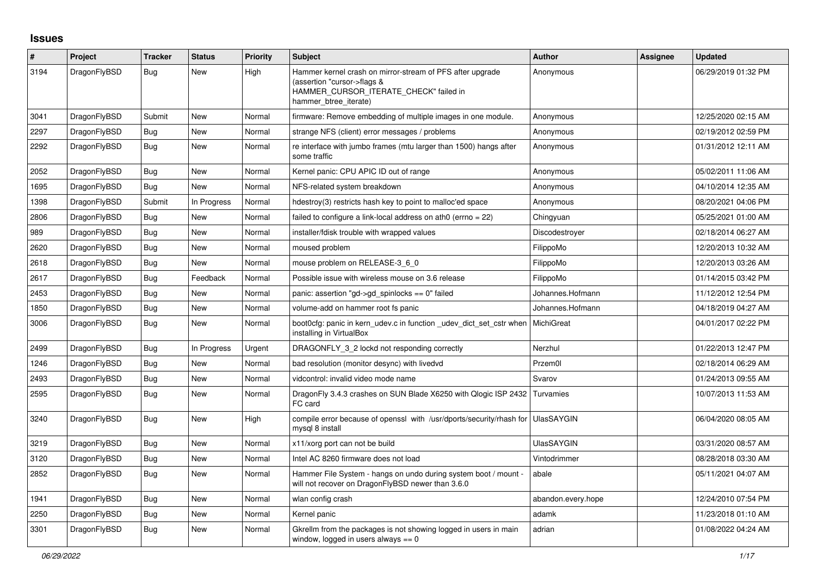## **Issues**

| #    | Project      | <b>Tracker</b> | <b>Status</b> | <b>Priority</b> | <b>Subject</b>                                                                                                                                              | <b>Author</b>      | Assignee | <b>Updated</b>      |
|------|--------------|----------------|---------------|-----------------|-------------------------------------------------------------------------------------------------------------------------------------------------------------|--------------------|----------|---------------------|
| 3194 | DragonFlyBSD | <b>Bug</b>     | New           | High            | Hammer kernel crash on mirror-stream of PFS after upgrade<br>(assertion "cursor->flags &<br>HAMMER_CURSOR_ITERATE_CHECK" failed in<br>hammer btree iterate) | Anonymous          |          | 06/29/2019 01:32 PM |
| 3041 | DragonFlyBSD | Submit         | New           | Normal          | firmware: Remove embedding of multiple images in one module.                                                                                                | Anonymous          |          | 12/25/2020 02:15 AM |
| 2297 | DragonFlyBSD | <b>Bug</b>     | <b>New</b>    | Normal          | strange NFS (client) error messages / problems                                                                                                              | Anonymous          |          | 02/19/2012 02:59 PM |
| 2292 | DragonFlyBSD | <b>Bug</b>     | New           | Normal          | re interface with jumbo frames (mtu larger than 1500) hangs after<br>some traffic                                                                           | Anonymous          |          | 01/31/2012 12:11 AM |
| 2052 | DragonFlyBSD | Bug            | New           | Normal          | Kernel panic: CPU APIC ID out of range                                                                                                                      | Anonymous          |          | 05/02/2011 11:06 AM |
| 1695 | DragonFlyBSD | Bug            | New           | Normal          | NFS-related system breakdown                                                                                                                                | Anonymous          |          | 04/10/2014 12:35 AM |
| 1398 | DragonFlyBSD | Submit         | In Progress   | Normal          | hdestroy(3) restricts hash key to point to malloc'ed space                                                                                                  | Anonymous          |          | 08/20/2021 04:06 PM |
| 2806 | DragonFlyBSD | <b>Bug</b>     | <b>New</b>    | Normal          | failed to configure a link-local address on ath0 (errno = 22)                                                                                               | Chingyuan          |          | 05/25/2021 01:00 AM |
| 989  | DragonFlyBSD | <b>Bug</b>     | New           | Normal          | installer/fdisk trouble with wrapped values                                                                                                                 | Discodestroyer     |          | 02/18/2014 06:27 AM |
| 2620 | DragonFlyBSD | Bug            | New           | Normal          | moused problem                                                                                                                                              | FilippoMo          |          | 12/20/2013 10:32 AM |
| 2618 | DragonFlyBSD | <b>Bug</b>     | New           | Normal          | mouse problem on RELEASE-3 6 0                                                                                                                              | FilippoMo          |          | 12/20/2013 03:26 AM |
| 2617 | DragonFlyBSD | Bug            | Feedback      | Normal          | Possible issue with wireless mouse on 3.6 release                                                                                                           | FilippoMo          |          | 01/14/2015 03:42 PM |
| 2453 | DragonFlyBSD | <b>Bug</b>     | New           | Normal          | panic: assertion "gd->gd spinlocks == $0$ " failed                                                                                                          | Johannes.Hofmann   |          | 11/12/2012 12:54 PM |
| 1850 | DragonFlyBSD | Bug            | New           | Normal          | volume-add on hammer root fs panic                                                                                                                          | Johannes.Hofmann   |          | 04/18/2019 04:27 AM |
| 3006 | DragonFlyBSD | <b>Bug</b>     | <b>New</b>    | Normal          | boot0cfg: panic in kern_udev.c in function _udev_dict_set_cstr when<br>installing in VirtualBox                                                             | <b>MichiGreat</b>  |          | 04/01/2017 02:22 PM |
| 2499 | DragonFlyBSD | Bug            | In Progress   | Urgent          | DRAGONFLY 3 2 lockd not responding correctly                                                                                                                | Nerzhul            |          | 01/22/2013 12:47 PM |
| 1246 | DragonFlyBSD | <b>Bug</b>     | New           | Normal          | bad resolution (monitor desync) with livedvd                                                                                                                | Przem0l            |          | 02/18/2014 06:29 AM |
| 2493 | DragonFlyBSD | Bug            | <b>New</b>    | Normal          | vidcontrol: invalid video mode name                                                                                                                         | Svarov             |          | 01/24/2013 09:55 AM |
| 2595 | DragonFlyBSD | Bug            | New           | Normal          | DragonFly 3.4.3 crashes on SUN Blade X6250 with Qlogic ISP 2432 Turvamies<br>FC card                                                                        |                    |          | 10/07/2013 11:53 AM |
| 3240 | DragonFlyBSD | <b>Bug</b>     | New           | High            | compile error because of openssl with /usr/dports/security/rhash for UlasSAYGIN<br>mysql 8 install                                                          |                    |          | 06/04/2020 08:05 AM |
| 3219 | DragonFlyBSD | Bug            | New           | Normal          | x11/xorg port can not be build                                                                                                                              | <b>UlasSAYGIN</b>  |          | 03/31/2020 08:57 AM |
| 3120 | DragonFlyBSD | <b>Bug</b>     | New           | Normal          | Intel AC 8260 firmware does not load                                                                                                                        | Vintodrimmer       |          | 08/28/2018 03:30 AM |
| 2852 | DragonFlyBSD | Bug            | <b>New</b>    | Normal          | Hammer File System - hangs on undo during system boot / mount -<br>will not recover on DragonFlyBSD newer than 3.6.0                                        | abale              |          | 05/11/2021 04:07 AM |
| 1941 | DragonFlyBSD | Bug            | New           | Normal          | wlan config crash                                                                                                                                           | abandon.every.hope |          | 12/24/2010 07:54 PM |
| 2250 | DragonFlyBSD | Bug            | New           | Normal          | Kernel panic                                                                                                                                                | adamk              |          | 11/23/2018 01:10 AM |
| 3301 | DragonFlyBSD | Bug            | New           | Normal          | Gkrellm from the packages is not showing logged in users in main<br>window, logged in users always $== 0$                                                   | adrian             |          | 01/08/2022 04:24 AM |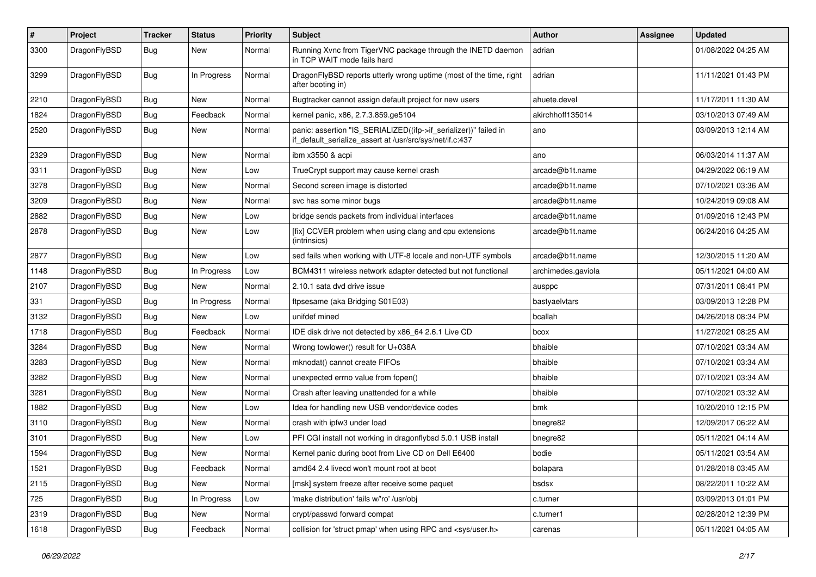| $\sharp$ | Project      | <b>Tracker</b> | <b>Status</b> | <b>Priority</b> | <b>Subject</b>                                                                                                               | Author             | Assignee | <b>Updated</b>      |
|----------|--------------|----------------|---------------|-----------------|------------------------------------------------------------------------------------------------------------------------------|--------------------|----------|---------------------|
| 3300     | DragonFlyBSD | Bug            | New           | Normal          | Running Xvnc from TigerVNC package through the INETD daemon<br>in TCP WAIT mode fails hard                                   | adrian             |          | 01/08/2022 04:25 AM |
| 3299     | DragonFlyBSD | Bug            | In Progress   | Normal          | DragonFlyBSD reports utterly wrong uptime (most of the time, right<br>after booting in)                                      | adrian             |          | 11/11/2021 01:43 PM |
| 2210     | DragonFlyBSD | Bug            | <b>New</b>    | Normal          | Bugtracker cannot assign default project for new users                                                                       | ahuete.devel       |          | 11/17/2011 11:30 AM |
| 1824     | DragonFlyBSD | Bug            | Feedback      | Normal          | kernel panic, x86, 2.7.3.859.ge5104                                                                                          | akirchhoff135014   |          | 03/10/2013 07:49 AM |
| 2520     | DragonFlyBSD | Bug            | <b>New</b>    | Normal          | panic: assertion "IS_SERIALIZED((ifp->if_serializer))" failed in<br>if default serialize assert at /usr/src/sys/net/if.c:437 | ano                |          | 03/09/2013 12:14 AM |
| 2329     | DragonFlyBSD | Bug            | New           | Normal          | ibm x3550 & acpi                                                                                                             | ano                |          | 06/03/2014 11:37 AM |
| 3311     | DragonFlyBSD | Bug            | <b>New</b>    | Low             | TrueCrypt support may cause kernel crash                                                                                     | arcade@b1t.name    |          | 04/29/2022 06:19 AM |
| 3278     | DragonFlyBSD | Bug            | <b>New</b>    | Normal          | Second screen image is distorted                                                                                             | arcade@b1t.name    |          | 07/10/2021 03:36 AM |
| 3209     | DragonFlyBSD | Bug            | New           | Normal          | svc has some minor bugs                                                                                                      | arcade@b1t.name    |          | 10/24/2019 09:08 AM |
| 2882     | DragonFlyBSD | Bug            | <b>New</b>    | Low             | bridge sends packets from individual interfaces                                                                              | arcade@b1t.name    |          | 01/09/2016 12:43 PM |
| 2878     | DragonFlyBSD | <b>Bug</b>     | New           | Low             | [fix] CCVER problem when using clang and cpu extensions<br>(intrinsics)                                                      | arcade@b1t.name    |          | 06/24/2016 04:25 AM |
| 2877     | DragonFlyBSD | Bug            | <b>New</b>    | Low             | sed fails when working with UTF-8 locale and non-UTF symbols                                                                 | arcade@b1t.name    |          | 12/30/2015 11:20 AM |
| 1148     | DragonFlyBSD | Bug            | In Progress   | Low             | BCM4311 wireless network adapter detected but not functional                                                                 | archimedes.gaviola |          | 05/11/2021 04:00 AM |
| 2107     | DragonFlyBSD | Bug            | <b>New</b>    | Normal          | 2.10.1 sata dvd drive issue                                                                                                  | ausppc             |          | 07/31/2011 08:41 PM |
| 331      | DragonFlyBSD | Bug            | In Progress   | Normal          | ftpsesame (aka Bridging S01E03)                                                                                              | bastyaelvtars      |          | 03/09/2013 12:28 PM |
| 3132     | DragonFlyBSD | Bug            | New           | Low             | unifdef mined                                                                                                                | bcallah            |          | 04/26/2018 08:34 PM |
| 1718     | DragonFlyBSD | Bug            | Feedback      | Normal          | IDE disk drive not detected by x86 64 2.6.1 Live CD                                                                          | bcox               |          | 11/27/2021 08:25 AM |
| 3284     | DragonFlyBSD | <b>Bug</b>     | New           | Normal          | Wrong towlower() result for U+038A                                                                                           | bhaible            |          | 07/10/2021 03:34 AM |
| 3283     | DragonFlyBSD | Bug            | New           | Normal          | mknodat() cannot create FIFOs                                                                                                | bhaible            |          | 07/10/2021 03:34 AM |
| 3282     | DragonFlyBSD | Bug            | <b>New</b>    | Normal          | unexpected errno value from fopen()                                                                                          | bhaible            |          | 07/10/2021 03:34 AM |
| 3281     | DragonFlyBSD | <b>Bug</b>     | New           | Normal          | Crash after leaving unattended for a while                                                                                   | bhaible            |          | 07/10/2021 03:32 AM |
| 1882     | DragonFlyBSD | Bug            | <b>New</b>    | Low             | Idea for handling new USB vendor/device codes                                                                                | bmk                |          | 10/20/2010 12:15 PM |
| 3110     | DragonFlyBSD | <b>Bug</b>     | New           | Normal          | crash with ipfw3 under load                                                                                                  | bnegre82           |          | 12/09/2017 06:22 AM |
| 3101     | DragonFlyBSD | <b>Bug</b>     | <b>New</b>    | Low             | PFI CGI install not working in dragonflybsd 5.0.1 USB install                                                                | bnegre82           |          | 05/11/2021 04:14 AM |
| 1594     | DragonFlyBSD | Bug            | New           | Normal          | Kernel panic during boot from Live CD on Dell E6400                                                                          | bodie              |          | 05/11/2021 03:54 AM |
| 1521     | DragonFlyBSD | <b>Bug</b>     | Feedback      | Normal          | amd64 2.4 livecd won't mount root at boot                                                                                    | bolapara           |          | 01/28/2018 03:45 AM |
| 2115     | DragonFlyBSD | <b>Bug</b>     | New           | Normal          | [msk] system freeze after receive some paquet                                                                                | bsdsx              |          | 08/22/2011 10:22 AM |
| 725      | DragonFlyBSD | <b>Bug</b>     | In Progress   | Low             | 'make distribution' fails w/'ro' /usr/obj                                                                                    | c.turner           |          | 03/09/2013 01:01 PM |
| 2319     | DragonFlyBSD | <b>Bug</b>     | New           | Normal          | crypt/passwd forward compat                                                                                                  | c.turner1          |          | 02/28/2012 12:39 PM |
| 1618     | DragonFlyBSD | <b>Bug</b>     | Feedback      | Normal          | collision for 'struct pmap' when using RPC and <sys user.h=""></sys>                                                         | carenas            |          | 05/11/2021 04:05 AM |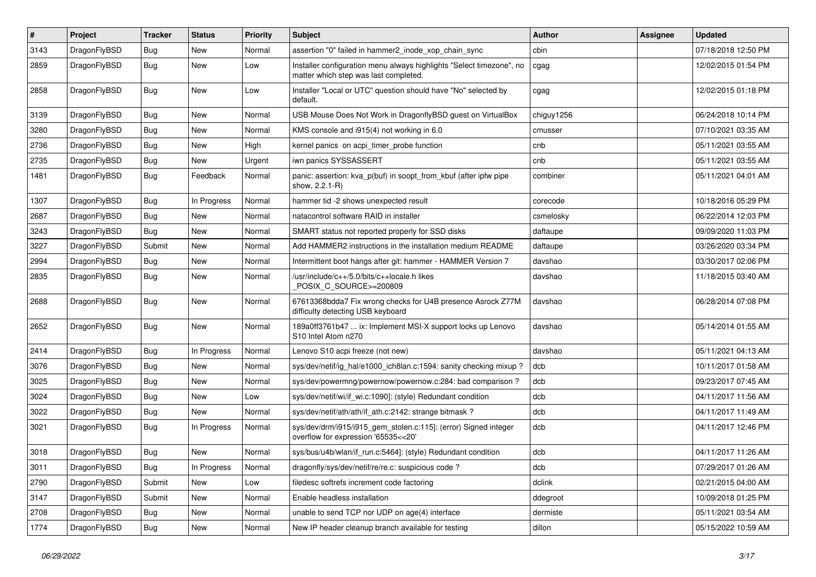| #    | Project      | <b>Tracker</b> | <b>Status</b> | <b>Priority</b> | <b>Subject</b>                                                                                                | Author     | Assignee | <b>Updated</b>      |
|------|--------------|----------------|---------------|-----------------|---------------------------------------------------------------------------------------------------------------|------------|----------|---------------------|
| 3143 | DragonFlyBSD | Bug            | New           | Normal          | assertion "0" failed in hammer2 inode xop chain sync                                                          | cbin       |          | 07/18/2018 12:50 PM |
| 2859 | DragonFlyBSD | Bug            | New           | Low             | Installer configuration menu always highlights "Select timezone", no<br>matter which step was last completed. | cgag       |          | 12/02/2015 01:54 PM |
| 2858 | DragonFlyBSD | Bug            | New           | Low             | Installer "Local or UTC" question should have "No" selected by<br>default.                                    | cgag       |          | 12/02/2015 01:18 PM |
| 3139 | DragonFlyBSD | Bug            | <b>New</b>    | Normal          | USB Mouse Does Not Work in DragonflyBSD guest on VirtualBox                                                   | chiguy1256 |          | 06/24/2018 10:14 PM |
| 3280 | DragonFlyBSD | Bug            | <b>New</b>    | Normal          | KMS console and i915(4) not working in 6.0                                                                    | cmusser    |          | 07/10/2021 03:35 AM |
| 2736 | DragonFlyBSD | Bug            | New           | High            | kernel panics on acpi timer probe function                                                                    | cnb        |          | 05/11/2021 03:55 AM |
| 2735 | DragonFlyBSD | Bug            | New           | Urgent          | iwn panics SYSSASSERT                                                                                         | cnb        |          | 05/11/2021 03:55 AM |
| 1481 | DragonFlyBSD | Bug            | Feedback      | Normal          | panic: assertion: kva_p(buf) in soopt_from_kbuf (after ipfw pipe<br>show, 2.2.1-R)                            | combiner   |          | 05/11/2021 04:01 AM |
| 1307 | DragonFlyBSD | Bug            | In Progress   | Normal          | hammer tid -2 shows unexpected result                                                                         | corecode   |          | 10/18/2016 05:29 PM |
| 2687 | DragonFlyBSD | Bug            | <b>New</b>    | Normal          | natacontrol software RAID in installer                                                                        | csmelosky  |          | 06/22/2014 12:03 PM |
| 3243 | DragonFlyBSD | <b>Bug</b>     | New           | Normal          | SMART status not reported properly for SSD disks                                                              | daftaupe   |          | 09/09/2020 11:03 PM |
| 3227 | DragonFlyBSD | Submit         | <b>New</b>    | Normal          | Add HAMMER2 instructions in the installation medium README                                                    | daftaupe   |          | 03/26/2020 03:34 PM |
| 2994 | DragonFlyBSD | <b>Bug</b>     | New           | Normal          | Intermittent boot hangs after git: hammer - HAMMER Version 7                                                  | davshao    |          | 03/30/2017 02:06 PM |
| 2835 | DragonFlyBSD | Bug            | New           | Normal          | /usr/include/c++/5.0/bits/c++locale.h likes<br>POSIX C_SOURCE>=200809                                         | davshao    |          | 11/18/2015 03:40 AM |
| 2688 | DragonFlyBSD | Bug            | <b>New</b>    | Normal          | 67613368bdda7 Fix wrong checks for U4B presence Asrock Z77M<br>difficulty detecting USB keyboard              | davshao    |          | 06/28/2014 07:08 PM |
| 2652 | DragonFlyBSD | Bug            | New           | Normal          | 189a0ff3761b47  ix: Implement MSI-X support locks up Lenovo<br>S10 Intel Atom n270                            | davshao    |          | 05/14/2014 01:55 AM |
| 2414 | DragonFlyBSD | Bug            | In Progress   | Normal          | Lenovo S10 acpi freeze (not new)                                                                              | davshao    |          | 05/11/2021 04:13 AM |
| 3076 | DragonFlyBSD | Bug            | New           | Normal          | sys/dev/netif/ig hal/e1000 ich8lan.c:1594: sanity checking mixup?                                             | dcb        |          | 10/11/2017 01:58 AM |
| 3025 | DragonFlyBSD | Bug            | <b>New</b>    | Normal          | sys/dev/powermng/powernow/powernow.c:284: bad comparison?                                                     | dcb        |          | 09/23/2017 07:45 AM |
| 3024 | DragonFlyBSD | <b>Bug</b>     | <b>New</b>    | Low             | sys/dev/netif/wi/if_wi.c:1090]: (style) Redundant condition                                                   | dcb        |          | 04/11/2017 11:56 AM |
| 3022 | DragonFlyBSD | <b>Bug</b>     | New           | Normal          | sys/dev/netif/ath/ath/if ath.c:2142: strange bitmask?                                                         | dcb        |          | 04/11/2017 11:49 AM |
| 3021 | DragonFlyBSD | Bug            | In Progress   | Normal          | sys/dev/drm/i915/i915_gem_stolen.c:115]: (error) Signed integer<br>overflow for expression '65535<<20'        | dcb        |          | 04/11/2017 12:46 PM |
| 3018 | DragonFlyBSD | <b>Bug</b>     | New           | Normal          | sys/bus/u4b/wlan/if run.c:5464]: (style) Redundant condition                                                  | dcb        |          | 04/11/2017 11:26 AM |
| 3011 | DragonFlyBSD | Bug            | In Progress   | Normal          | dragonfly/sys/dev/netif/re/re.c: suspicious code ?                                                            | dcb        |          | 07/29/2017 01:26 AM |
| 2790 | DragonFlyBSD | Submit         | New           | Low             | filedesc softrefs increment code factoring                                                                    | dclink     |          | 02/21/2015 04:00 AM |
| 3147 | DragonFlyBSD | Submit         | New           | Normal          | Enable headless installation                                                                                  | ddegroot   |          | 10/09/2018 01:25 PM |
| 2708 | DragonFlyBSD | <b>Bug</b>     | New           | Normal          | unable to send TCP nor UDP on age(4) interface                                                                | dermiste   |          | 05/11/2021 03:54 AM |
| 1774 | DragonFlyBSD | <b>Bug</b>     | New           | Normal          | New IP header cleanup branch available for testing                                                            | dillon     |          | 05/15/2022 10:59 AM |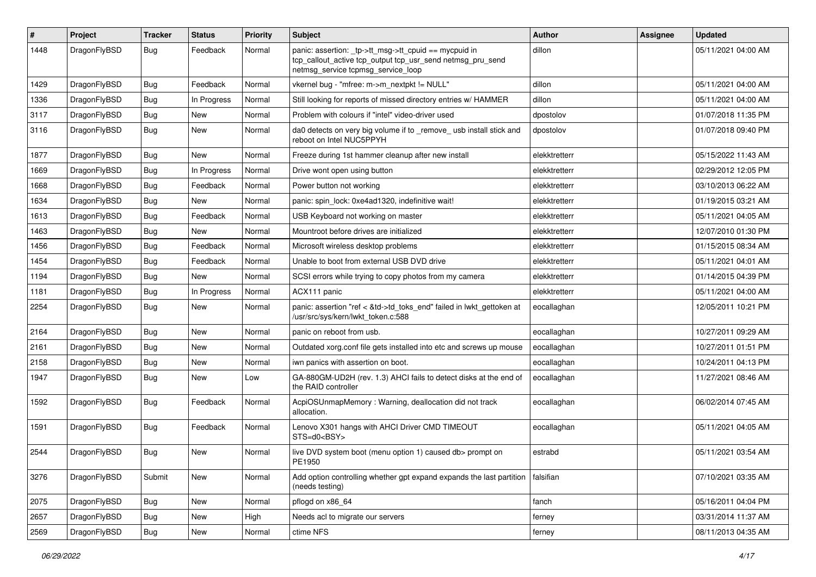| #    | Project      | <b>Tracker</b> | <b>Status</b> | <b>Priority</b> | Subject                                                                                                                                                   | <b>Author</b> | Assignee | <b>Updated</b>      |
|------|--------------|----------------|---------------|-----------------|-----------------------------------------------------------------------------------------------------------------------------------------------------------|---------------|----------|---------------------|
| 1448 | DragonFlyBSD | Bug            | Feedback      | Normal          | panic: assertion: _tp->tt_msg->tt_cpuid == mycpuid in<br>tcp_callout_active tcp_output tcp_usr_send netmsg_pru_send<br>netmsg_service tcpmsg_service_loop | dillon        |          | 05/11/2021 04:00 AM |
| 1429 | DragonFlyBSD | Bug            | Feedback      | Normal          | vkernel bug - "mfree: m->m_nextpkt != NULL"                                                                                                               | dillon        |          | 05/11/2021 04:00 AM |
| 1336 | DragonFlyBSD | Bug            | In Progress   | Normal          | Still looking for reports of missed directory entries w/ HAMMER                                                                                           | dillon        |          | 05/11/2021 04:00 AM |
| 3117 | DragonFlyBSD | <b>Bug</b>     | New           | Normal          | Problem with colours if "intel" video-driver used                                                                                                         | dpostolov     |          | 01/07/2018 11:35 PM |
| 3116 | DragonFlyBSD | Bug            | <b>New</b>    | Normal          | da0 detects on very big volume if to _remove_ usb install stick and<br>reboot on Intel NUC5PPYH                                                           | dpostolov     |          | 01/07/2018 09:40 PM |
| 1877 | DragonFlyBSD | Bug            | <b>New</b>    | Normal          | Freeze during 1st hammer cleanup after new install                                                                                                        | elekktretterr |          | 05/15/2022 11:43 AM |
| 1669 | DragonFlyBSD | <b>Bug</b>     | In Progress   | Normal          | Drive wont open using button                                                                                                                              | elekktretterr |          | 02/29/2012 12:05 PM |
| 1668 | DragonFlyBSD | <b>Bug</b>     | Feedback      | Normal          | Power button not working                                                                                                                                  | elekktretterr |          | 03/10/2013 06:22 AM |
| 1634 | DragonFlyBSD | <b>Bug</b>     | New           | Normal          | panic: spin lock: 0xe4ad1320, indefinitive wait!                                                                                                          | elekktretterr |          | 01/19/2015 03:21 AM |
| 1613 | DragonFlyBSD | <b>Bug</b>     | Feedback      | Normal          | USB Keyboard not working on master                                                                                                                        | elekktretterr |          | 05/11/2021 04:05 AM |
| 1463 | DragonFlyBSD | <b>Bug</b>     | New           | Normal          | Mountroot before drives are initialized                                                                                                                   | elekktretterr |          | 12/07/2010 01:30 PM |
| 1456 | DragonFlyBSD | <b>Bug</b>     | Feedback      | Normal          | Microsoft wireless desktop problems                                                                                                                       | elekktretterr |          | 01/15/2015 08:34 AM |
| 1454 | DragonFlyBSD | <b>Bug</b>     | Feedback      | Normal          | Unable to boot from external USB DVD drive                                                                                                                | elekktretterr |          | 05/11/2021 04:01 AM |
| 1194 | DragonFlyBSD | <b>Bug</b>     | New           | Normal          | SCSI errors while trying to copy photos from my camera                                                                                                    | elekktretterr |          | 01/14/2015 04:39 PM |
| 1181 | DragonFlyBSD | Bug            | In Progress   | Normal          | ACX111 panic                                                                                                                                              | elekktretterr |          | 05/11/2021 04:00 AM |
| 2254 | DragonFlyBSD | <b>Bug</b>     | New           | Normal          | panic: assertion "ref < &td->td toks end" failed in lwkt gettoken at<br>/usr/src/sys/kern/lwkt_token.c:588                                                | eocallaghan   |          | 12/05/2011 10:21 PM |
| 2164 | DragonFlyBSD | Bug            | <b>New</b>    | Normal          | panic on reboot from usb.                                                                                                                                 | eocallaghan   |          | 10/27/2011 09:29 AM |
| 2161 | DragonFlyBSD | <b>Bug</b>     | <b>New</b>    | Normal          | Outdated xorg.conf file gets installed into etc and screws up mouse                                                                                       | eocallaghan   |          | 10/27/2011 01:51 PM |
| 2158 | DragonFlyBSD | <b>Bug</b>     | <b>New</b>    | Normal          | iwn panics with assertion on boot.                                                                                                                        | eocallaghan   |          | 10/24/2011 04:13 PM |
| 1947 | DragonFlyBSD | <b>Bug</b>     | New           | Low             | GA-880GM-UD2H (rev. 1.3) AHCI fails to detect disks at the end of<br>the RAID controller                                                                  | eocallaghan   |          | 11/27/2021 08:46 AM |
| 1592 | DragonFlyBSD | <b>Bug</b>     | Feedback      | Normal          | AcpiOSUnmapMemory: Warning, deallocation did not track<br>allocation.                                                                                     | eocallaghan   |          | 06/02/2014 07:45 AM |
| 1591 | DragonFlyBSD | Bug            | Feedback      | Normal          | Lenovo X301 hangs with AHCI Driver CMD TIMEOUT<br>STS=d0 <bsy></bsy>                                                                                      | eocallaghan   |          | 05/11/2021 04:05 AM |
| 2544 | DragonFlyBSD | Bug            | <b>New</b>    | Normal          | live DVD system boot (menu option 1) caused db> prompt on<br>PE1950                                                                                       | estrabd       |          | 05/11/2021 03:54 AM |
| 3276 | DragonFlyBSD | Submit         | New           | Normal          | Add option controlling whether gpt expand expands the last partition<br>(needs testing)                                                                   | falsifian     |          | 07/10/2021 03:35 AM |
| 2075 | DragonFlyBSD | <b>Bug</b>     | New           | Normal          | pflogd on x86_64                                                                                                                                          | fanch         |          | 05/16/2011 04:04 PM |
| 2657 | DragonFlyBSD | Bug            | New           | High            | Needs acl to migrate our servers                                                                                                                          | ferney        |          | 03/31/2014 11:37 AM |
| 2569 | DragonFlyBSD | <b>Bug</b>     | New           | Normal          | ctime NFS                                                                                                                                                 | ferney        |          | 08/11/2013 04:35 AM |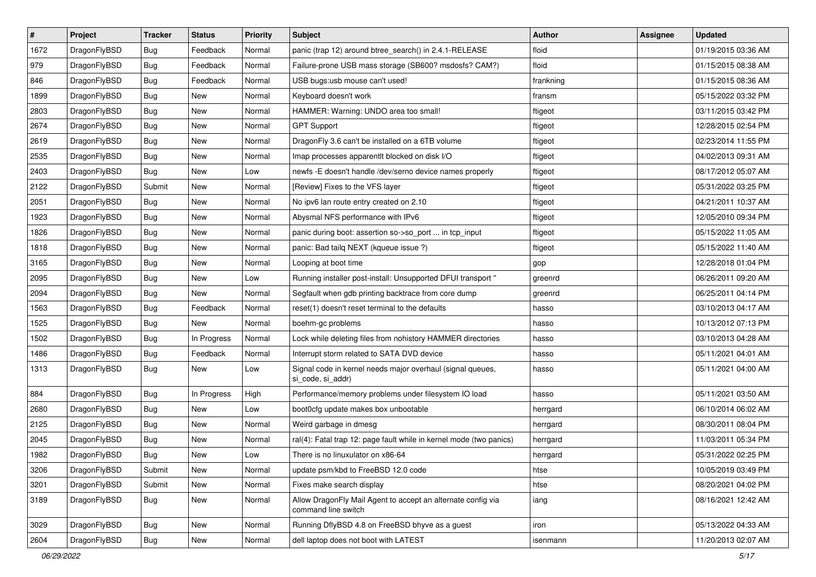| #    | Project      | <b>Tracker</b> | <b>Status</b> | <b>Priority</b> | <b>Subject</b>                                                                      | Author    | <b>Assignee</b> | <b>Updated</b>      |
|------|--------------|----------------|---------------|-----------------|-------------------------------------------------------------------------------------|-----------|-----------------|---------------------|
| 1672 | DragonFlyBSD | Bug            | Feedback      | Normal          | panic (trap 12) around btree_search() in 2.4.1-RELEASE                              | floid     |                 | 01/19/2015 03:36 AM |
| 979  | DragonFlyBSD | Bug            | Feedback      | Normal          | Failure-prone USB mass storage (SB600? msdosfs? CAM?)                               | floid     |                 | 01/15/2015 08:38 AM |
| 846  | DragonFlyBSD | <b>Bug</b>     | Feedback      | Normal          | USB bugs:usb mouse can't used!                                                      | frankning |                 | 01/15/2015 08:36 AM |
| 1899 | DragonFlyBSD | <b>Bug</b>     | New           | Normal          | Keyboard doesn't work                                                               | fransm    |                 | 05/15/2022 03:32 PM |
| 2803 | DragonFlyBSD | Bug            | <b>New</b>    | Normal          | HAMMER: Warning: UNDO area too small!                                               | ftigeot   |                 | 03/11/2015 03:42 PM |
| 2674 | DragonFlyBSD | <b>Bug</b>     | New           | Normal          | <b>GPT Support</b>                                                                  | ftigeot   |                 | 12/28/2015 02:54 PM |
| 2619 | DragonFlyBSD | <b>Bug</b>     | New           | Normal          | DragonFly 3.6 can't be installed on a 6TB volume                                    | ftigeot   |                 | 02/23/2014 11:55 PM |
| 2535 | DragonFlyBSD | <b>Bug</b>     | <b>New</b>    | Normal          | Imap processes apparentlt blocked on disk I/O                                       | ftigeot   |                 | 04/02/2013 09:31 AM |
| 2403 | DragonFlyBSD | <b>Bug</b>     | New           | Low             | newfs - E doesn't handle /dev/serno device names properly                           | ftigeot   |                 | 08/17/2012 05:07 AM |
| 2122 | DragonFlyBSD | Submit         | <b>New</b>    | Normal          | [Review] Fixes to the VFS layer                                                     | ftigeot   |                 | 05/31/2022 03:25 PM |
| 2051 | DragonFlyBSD | <b>Bug</b>     | New           | Normal          | No ipv6 lan route entry created on 2.10                                             | ftigeot   |                 | 04/21/2011 10:37 AM |
| 1923 | DragonFlyBSD | <b>Bug</b>     | New           | Normal          | Abysmal NFS performance with IPv6                                                   | ftigeot   |                 | 12/05/2010 09:34 PM |
| 1826 | DragonFlyBSD | <b>Bug</b>     | New           | Normal          | panic during boot: assertion so->so_port  in tcp_input                              | ftigeot   |                 | 05/15/2022 11:05 AM |
| 1818 | DragonFlyBSD | <b>Bug</b>     | <b>New</b>    | Normal          | panic: Bad tailq NEXT (kqueue issue ?)                                              | ftigeot   |                 | 05/15/2022 11:40 AM |
| 3165 | DragonFlyBSD | <b>Bug</b>     | <b>New</b>    | Normal          | Looping at boot time                                                                | gop       |                 | 12/28/2018 01:04 PM |
| 2095 | DragonFlyBSD | <b>Bug</b>     | <b>New</b>    | Low             | Running installer post-install: Unsupported DFUI transport "                        | greenrd   |                 | 06/26/2011 09:20 AM |
| 2094 | DragonFlyBSD | <b>Bug</b>     | New           | Normal          | Segfault when gdb printing backtrace from core dump                                 | greenrd   |                 | 06/25/2011 04:14 PM |
| 1563 | DragonFlyBSD | <b>Bug</b>     | Feedback      | Normal          | reset(1) doesn't reset terminal to the defaults                                     | hasso     |                 | 03/10/2013 04:17 AM |
| 1525 | DragonFlyBSD | <b>Bug</b>     | New           | Normal          | boehm-gc problems                                                                   | hasso     |                 | 10/13/2012 07:13 PM |
| 1502 | DragonFlyBSD | <b>Bug</b>     | In Progress   | Normal          | Lock while deleting files from nohistory HAMMER directories                         | hasso     |                 | 03/10/2013 04:28 AM |
| 1486 | DragonFlyBSD | <b>Bug</b>     | Feedback      | Normal          | Interrupt storm related to SATA DVD device                                          | hasso     |                 | 05/11/2021 04:01 AM |
| 1313 | DragonFlyBSD | <b>Bug</b>     | New           | Low             | Signal code in kernel needs major overhaul (signal queues,<br>si_code, si_addr)     | hasso     |                 | 05/11/2021 04:00 AM |
| 884  | DragonFlyBSD | <b>Bug</b>     | In Progress   | High            | Performance/memory problems under filesystem IO load                                | hasso     |                 | 05/11/2021 03:50 AM |
| 2680 | DragonFlyBSD | <b>Bug</b>     | <b>New</b>    | Low             | boot0cfg update makes box unbootable                                                | herrgard  |                 | 06/10/2014 06:02 AM |
| 2125 | DragonFlyBSD | <b>Bug</b>     | <b>New</b>    | Normal          | Weird garbage in dmesg                                                              | herrgard  |                 | 08/30/2011 08:04 PM |
| 2045 | DragonFlyBSD | <b>Bug</b>     | <b>New</b>    | Normal          | ral(4): Fatal trap 12: page fault while in kernel mode (two panics)                 | herrgard  |                 | 11/03/2011 05:34 PM |
| 1982 | DragonFlyBSD | <b>Bug</b>     | New           | Low             | There is no linuxulator on x86-64                                                   | herrgard  |                 | 05/31/2022 02:25 PM |
| 3206 | DragonFlyBSD | Submit         | <b>New</b>    | Normal          | update psm/kbd to FreeBSD 12.0 code                                                 | htse      |                 | 10/05/2019 03:49 PM |
| 3201 | DragonFlyBSD | Submit         | <b>New</b>    | Normal          | Fixes make search display                                                           | htse      |                 | 08/20/2021 04:02 PM |
| 3189 | DragonFlyBSD | Bug            | <b>New</b>    | Normal          | Allow DragonFly Mail Agent to accept an alternate config via<br>command line switch | iang      |                 | 08/16/2021 12:42 AM |
| 3029 | DragonFlyBSD | Bug            | New           | Normal          | Running DflyBSD 4.8 on FreeBSD bhyve as a guest                                     | iron      |                 | 05/13/2022 04:33 AM |
| 2604 | DragonFlyBSD | <b>Bug</b>     | New           | Normal          | dell laptop does not boot with LATEST                                               | isenmann  |                 | 11/20/2013 02:07 AM |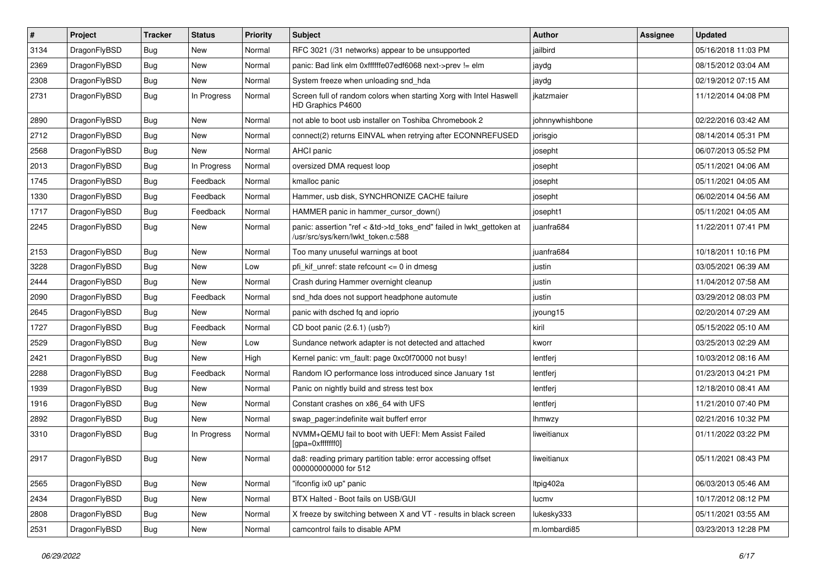| #    | Project      | <b>Tracker</b> | <b>Status</b> | <b>Priority</b> | Subject                                                                                                    | Author          | Assignee | <b>Updated</b>      |
|------|--------------|----------------|---------------|-----------------|------------------------------------------------------------------------------------------------------------|-----------------|----------|---------------------|
| 3134 | DragonFlyBSD | Bug            | <b>New</b>    | Normal          | RFC 3021 (/31 networks) appear to be unsupported                                                           | jailbird        |          | 05/16/2018 11:03 PM |
| 2369 | DragonFlyBSD | <b>Bug</b>     | <b>New</b>    | Normal          | panic: Bad link elm 0xffffffe07edf6068 next->prev != elm                                                   | jaydg           |          | 08/15/2012 03:04 AM |
| 2308 | DragonFlyBSD | <b>Bug</b>     | New           | Normal          | System freeze when unloading snd hda                                                                       | jaydg           |          | 02/19/2012 07:15 AM |
| 2731 | DragonFlyBSD | Bug            | In Progress   | Normal          | Screen full of random colors when starting Xorg with Intel Haswell<br>HD Graphics P4600                    | ikatzmaier      |          | 11/12/2014 04:08 PM |
| 2890 | DragonFlyBSD | <b>Bug</b>     | New           | Normal          | not able to boot usb installer on Toshiba Chromebook 2                                                     | johnnywhishbone |          | 02/22/2016 03:42 AM |
| 2712 | DragonFlyBSD | <b>Bug</b>     | <b>New</b>    | Normal          | connect(2) returns EINVAL when retrying after ECONNREFUSED                                                 | jorisgio        |          | 08/14/2014 05:31 PM |
| 2568 | DragonFlyBSD | <b>Bug</b>     | New           | Normal          | <b>AHCI</b> panic                                                                                          | josepht         |          | 06/07/2013 05:52 PM |
| 2013 | DragonFlyBSD | Bug            | In Progress   | Normal          | oversized DMA request loop                                                                                 | josepht         |          | 05/11/2021 04:06 AM |
| 1745 | DragonFlyBSD | Bug            | Feedback      | Normal          | kmalloc panic                                                                                              | josepht         |          | 05/11/2021 04:05 AM |
| 1330 | DragonFlyBSD | Bug            | Feedback      | Normal          | Hammer, usb disk, SYNCHRONIZE CACHE failure                                                                | josepht         |          | 06/02/2014 04:56 AM |
| 1717 | DragonFlyBSD | Bug            | Feedback      | Normal          | HAMMER panic in hammer_cursor_down()                                                                       | josepht1        |          | 05/11/2021 04:05 AM |
| 2245 | DragonFlyBSD | Bug            | New           | Normal          | panic: assertion "ref < &td->td_toks_end" failed in lwkt_gettoken at<br>/usr/src/sys/kern/lwkt_token.c:588 | juanfra684      |          | 11/22/2011 07:41 PM |
| 2153 | DragonFlyBSD | Bug            | <b>New</b>    | Normal          | Too many unuseful warnings at boot                                                                         | juanfra684      |          | 10/18/2011 10:16 PM |
| 3228 | DragonFlyBSD | <b>Bug</b>     | New           | Low             | pfi kif unref: state refcount $\leq$ 0 in dmesq                                                            | justin          |          | 03/05/2021 06:39 AM |
| 2444 | DragonFlyBSD | Bug            | New           | Normal          | Crash during Hammer overnight cleanup                                                                      | justin          |          | 11/04/2012 07:58 AM |
| 2090 | DragonFlyBSD | Bug            | Feedback      | Normal          | snd_hda does not support headphone automute                                                                | justin          |          | 03/29/2012 08:03 PM |
| 2645 | DragonFlyBSD | <b>Bug</b>     | New           | Normal          | panic with dsched fq and ioprio                                                                            | jyoung15        |          | 02/20/2014 07:29 AM |
| 1727 | DragonFlyBSD | Bug            | Feedback      | Normal          | CD boot panic (2.6.1) (usb?)                                                                               | kiril           |          | 05/15/2022 05:10 AM |
| 2529 | DragonFlyBSD | <b>Bug</b>     | New           | Low             | Sundance network adapter is not detected and attached                                                      | kworr           |          | 03/25/2013 02:29 AM |
| 2421 | DragonFlyBSD | Bug            | New           | High            | Kernel panic: vm_fault: page 0xc0f70000 not busy!                                                          | lentferj        |          | 10/03/2012 08:16 AM |
| 2288 | DragonFlyBSD | <b>Bug</b>     | Feedback      | Normal          | Random IO performance loss introduced since January 1st                                                    | lentferj        |          | 01/23/2013 04:21 PM |
| 1939 | DragonFlyBSD | <b>Bug</b>     | New           | Normal          | Panic on nightly build and stress test box                                                                 | lentferj        |          | 12/18/2010 08:41 AM |
| 1916 | DragonFlyBSD | Bug            | <b>New</b>    | Normal          | Constant crashes on x86_64 with UFS                                                                        | lentferj        |          | 11/21/2010 07:40 PM |
| 2892 | DragonFlyBSD | Bug            | New           | Normal          | swap_pager:indefinite wait bufferf error                                                                   | <b>Ihmwzy</b>   |          | 02/21/2016 10:32 PM |
| 3310 | DragonFlyBSD | Bug            | In Progress   | Normal          | NVMM+QEMU fail to boot with UEFI: Mem Assist Failed<br>[gpa=0xfffffff0]                                    | liweitianux     |          | 01/11/2022 03:22 PM |
| 2917 | DragonFlyBSD | <b>Bug</b>     | New           | Normal          | da8: reading primary partition table: error accessing offset<br>000000000000 for 512                       | liweitianux     |          | 05/11/2021 08:43 PM |
| 2565 | DragonFlyBSD | <b>Bug</b>     | New           | Normal          | "ifconfig ix0 up" panic                                                                                    | ltpig402a       |          | 06/03/2013 05:46 AM |
| 2434 | DragonFlyBSD | <b>Bug</b>     | New           | Normal          | BTX Halted - Boot fails on USB/GUI                                                                         | lucmv           |          | 10/17/2012 08:12 PM |
| 2808 | DragonFlyBSD | <b>Bug</b>     | New           | Normal          | X freeze by switching between X and VT - results in black screen                                           | lukesky333      |          | 05/11/2021 03:55 AM |
| 2531 | DragonFlyBSD | <b>Bug</b>     | New           | Normal          | camcontrol fails to disable APM                                                                            | m.lombardi85    |          | 03/23/2013 12:28 PM |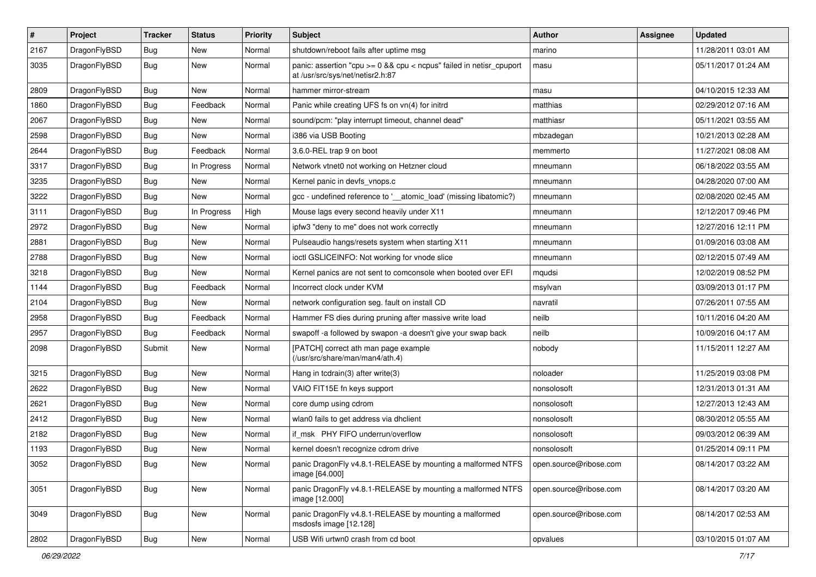| $\pmb{\#}$ | Project      | <b>Tracker</b> | <b>Status</b> | <b>Priority</b> | Subject                                                                                                 | <b>Author</b>          | Assignee | <b>Updated</b>      |
|------------|--------------|----------------|---------------|-----------------|---------------------------------------------------------------------------------------------------------|------------------------|----------|---------------------|
| 2167       | DragonFlyBSD | Bug            | New           | Normal          | shutdown/reboot fails after uptime msg                                                                  | marino                 |          | 11/28/2011 03:01 AM |
| 3035       | DragonFlyBSD | <b>Bug</b>     | New           | Normal          | panic: assertion "cpu >= 0 && cpu < ncpus" failed in netisr_cpuport<br>at /usr/src/sys/net/netisr2.h:87 | masu                   |          | 05/11/2017 01:24 AM |
| 2809       | DragonFlyBSD | <b>Bug</b>     | <b>New</b>    | Normal          | hammer mirror-stream                                                                                    | masu                   |          | 04/10/2015 12:33 AM |
| 1860       | DragonFlyBSD | Bug            | Feedback      | Normal          | Panic while creating UFS fs on vn(4) for initrd                                                         | matthias               |          | 02/29/2012 07:16 AM |
| 2067       | DragonFlyBSD | Bug            | New           | Normal          | sound/pcm: "play interrupt timeout, channel dead"                                                       | matthiasr              |          | 05/11/2021 03:55 AM |
| 2598       | DragonFlyBSD | Bug            | New           | Normal          | i386 via USB Booting                                                                                    | mbzadegan              |          | 10/21/2013 02:28 AM |
| 2644       | DragonFlyBSD | Bug            | Feedback      | Normal          | 3.6.0-REL trap 9 on boot                                                                                | memmerto               |          | 11/27/2021 08:08 AM |
| 3317       | DragonFlyBSD | Bug            | In Progress   | Normal          | Network vtnet0 not working on Hetzner cloud                                                             | mneumann               |          | 06/18/2022 03:55 AM |
| 3235       | DragonFlyBSD | Bug            | <b>New</b>    | Normal          | Kernel panic in devfs vnops.c                                                                           | mneumann               |          | 04/28/2020 07:00 AM |
| 3222       | DragonFlyBSD | Bug            | New           | Normal          | gcc - undefined reference to '__atomic_load' (missing libatomic?)                                       | mneumann               |          | 02/08/2020 02:45 AM |
| 3111       | DragonFlyBSD | Bug            | In Progress   | High            | Mouse lags every second heavily under X11                                                               | mneumann               |          | 12/12/2017 09:46 PM |
| 2972       | DragonFlyBSD | Bug            | New           | Normal          | ipfw3 "deny to me" does not work correctly                                                              | mneumann               |          | 12/27/2016 12:11 PM |
| 2881       | DragonFlyBSD | Bug            | New           | Normal          | Pulseaudio hangs/resets system when starting X11                                                        | mneumann               |          | 01/09/2016 03:08 AM |
| 2788       | DragonFlyBSD | Bug            | <b>New</b>    | Normal          | ioctl GSLICEINFO: Not working for vnode slice                                                           | mneumann               |          | 02/12/2015 07:49 AM |
| 3218       | DragonFlyBSD | Bug            | New           | Normal          | Kernel panics are not sent to comconsole when booted over EFI                                           | mqudsi                 |          | 12/02/2019 08:52 PM |
| 1144       | DragonFlyBSD | Bug            | Feedback      | Normal          | Incorrect clock under KVM                                                                               | msylvan                |          | 03/09/2013 01:17 PM |
| 2104       | DragonFlyBSD | Bug            | <b>New</b>    | Normal          | network configuration seg. fault on install CD                                                          | navratil               |          | 07/26/2011 07:55 AM |
| 2958       | DragonFlyBSD | Bug            | Feedback      | Normal          | Hammer FS dies during pruning after massive write load                                                  | neilb                  |          | 10/11/2016 04:20 AM |
| 2957       | DragonFlyBSD | Bug            | Feedback      | Normal          | swapoff -a followed by swapon -a doesn't give your swap back                                            | neilb                  |          | 10/09/2016 04:17 AM |
| 2098       | DragonFlyBSD | Submit         | New           | Normal          | [PATCH] correct ath man page example<br>(/usr/src/share/man/man4/ath.4)                                 | nobody                 |          | 11/15/2011 12:27 AM |
| 3215       | DragonFlyBSD | Bug            | <b>New</b>    | Normal          | Hang in tcdrain(3) after write(3)                                                                       | noloader               |          | 11/25/2019 03:08 PM |
| 2622       | DragonFlyBSD | Bug            | New           | Normal          | VAIO FIT15E fn keys support                                                                             | nonsolosoft            |          | 12/31/2013 01:31 AM |
| 2621       | DragonFlyBSD | Bug            | <b>New</b>    | Normal          | core dump using cdrom                                                                                   | nonsolosoft            |          | 12/27/2013 12:43 AM |
| 2412       | DragonFlyBSD | <b>Bug</b>     | <b>New</b>    | Normal          | wlan0 fails to get address via dhclient                                                                 | nonsolosoft            |          | 08/30/2012 05:55 AM |
| 2182       | DragonFlyBSD | Bug            | New           | Normal          | if_msk PHY FIFO underrun/overflow                                                                       | nonsolosoft            |          | 09/03/2012 06:39 AM |
| 1193       | DragonFlyBSD | Bug            | New           | Normal          | kernel doesn't recognize cdrom drive                                                                    | nonsolosoft            |          | 01/25/2014 09:11 PM |
| 3052       | DragonFlyBSD | <b>Bug</b>     | <b>New</b>    | Normal          | panic DragonFly v4.8.1-RELEASE by mounting a malformed NTFS<br>image [64.000]                           | open.source@ribose.com |          | 08/14/2017 03:22 AM |
| 3051       | DragonFlyBSD | Bug            | New           | Normal          | panic DragonFly v4.8.1-RELEASE by mounting a malformed NTFS<br>image [12.000]                           | open.source@ribose.com |          | 08/14/2017 03:20 AM |
| 3049       | DragonFlyBSD | Bug            | New           | Normal          | panic DragonFly v4.8.1-RELEASE by mounting a malformed<br>msdosfs image [12.128]                        | open.source@ribose.com |          | 08/14/2017 02:53 AM |
| 2802       | DragonFlyBSD | <b>Bug</b>     | New           | Normal          | USB Wifi urtwn0 crash from cd boot                                                                      | opvalues               |          | 03/10/2015 01:07 AM |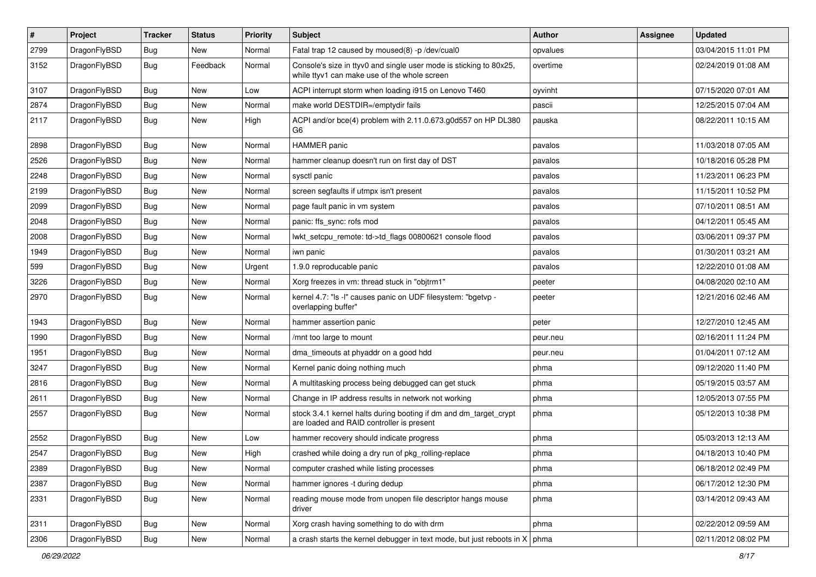| $\sharp$ | Project      | <b>Tracker</b> | <b>Status</b> | <b>Priority</b> | <b>Subject</b>                                                                                                     | Author   | Assignee | <b>Updated</b>      |
|----------|--------------|----------------|---------------|-----------------|--------------------------------------------------------------------------------------------------------------------|----------|----------|---------------------|
| 2799     | DragonFlyBSD | Bug            | New           | Normal          | Fatal trap 12 caused by moused(8) -p/dev/cual0                                                                     | opvalues |          | 03/04/2015 11:01 PM |
| 3152     | DragonFlyBSD | Bug            | Feedback      | Normal          | Console's size in ttyv0 and single user mode is sticking to 80x25,<br>while ttyv1 can make use of the whole screen | overtime |          | 02/24/2019 01:08 AM |
| 3107     | DragonFlyBSD | Bug            | <b>New</b>    | Low             | ACPI interrupt storm when loading i915 on Lenovo T460                                                              | oyvinht  |          | 07/15/2020 07:01 AM |
| 2874     | DragonFlyBSD | Bug            | New           | Normal          | make world DESTDIR=/emptydir fails                                                                                 | pascii   |          | 12/25/2015 07:04 AM |
| 2117     | DragonFlyBSD | Bug            | New           | High            | ACPI and/or bce(4) problem with 2.11.0.673.g0d557 on HP DL380<br>G <sub>6</sub>                                    | pauska   |          | 08/22/2011 10:15 AM |
| 2898     | DragonFlyBSD | Bug            | New           | Normal          | <b>HAMMER</b> panic                                                                                                | pavalos  |          | 11/03/2018 07:05 AM |
| 2526     | DragonFlyBSD | <b>Bug</b>     | <b>New</b>    | Normal          | hammer cleanup doesn't run on first day of DST                                                                     | pavalos  |          | 10/18/2016 05:28 PM |
| 2248     | DragonFlyBSD | Bug            | New           | Normal          | sysctl panic                                                                                                       | pavalos  |          | 11/23/2011 06:23 PM |
| 2199     | DragonFlyBSD | <b>Bug</b>     | <b>New</b>    | Normal          | screen segfaults if utmpx isn't present                                                                            | pavalos  |          | 11/15/2011 10:52 PM |
| 2099     | DragonFlyBSD | <b>Bug</b>     | <b>New</b>    | Normal          | page fault panic in vm system                                                                                      | pavalos  |          | 07/10/2011 08:51 AM |
| 2048     | DragonFlyBSD | Bug            | New           | Normal          | panic: ffs_sync: rofs mod                                                                                          | pavalos  |          | 04/12/2011 05:45 AM |
| 2008     | DragonFlyBSD | <b>Bug</b>     | New           | Normal          | lwkt_setcpu_remote: td->td_flags 00800621 console flood                                                            | pavalos  |          | 03/06/2011 09:37 PM |
| 1949     | DragonFlyBSD | Bug            | New           | Normal          | iwn panic                                                                                                          | pavalos  |          | 01/30/2011 03:21 AM |
| 599      | DragonFlyBSD | <b>Bug</b>     | New           | Urgent          | 1.9.0 reproducable panic                                                                                           | pavalos  |          | 12/22/2010 01:08 AM |
| 3226     | DragonFlyBSD | <b>Bug</b>     | New           | Normal          | Xorg freezes in vm: thread stuck in "objtrm1"                                                                      | peeter   |          | 04/08/2020 02:10 AM |
| 2970     | DragonFlyBSD | Bug            | New           | Normal          | kernel 4.7: "Is -l" causes panic on UDF filesystem: "bgetvp -<br>overlapping buffer"                               | peeter   |          | 12/21/2016 02:46 AM |
| 1943     | DragonFlyBSD | Bug            | <b>New</b>    | Normal          | hammer assertion panic                                                                                             | peter    |          | 12/27/2010 12:45 AM |
| 1990     | DragonFlyBSD | <b>Bug</b>     | New           | Normal          | /mnt too large to mount                                                                                            | peur.neu |          | 02/16/2011 11:24 PM |
| 1951     | DragonFlyBSD | <b>Bug</b>     | New           | Normal          | dma_timeouts at phyaddr on a good hdd                                                                              | peur.neu |          | 01/04/2011 07:12 AM |
| 3247     | DragonFlyBSD | Bug            | <b>New</b>    | Normal          | Kernel panic doing nothing much                                                                                    | phma     |          | 09/12/2020 11:40 PM |
| 2816     | DragonFlyBSD | <b>Bug</b>     | <b>New</b>    | Normal          | A multitasking process being debugged can get stuck                                                                | phma     |          | 05/19/2015 03:57 AM |
| 2611     | DragonFlyBSD | <b>Bug</b>     | New           | Normal          | Change in IP address results in network not working                                                                | phma     |          | 12/05/2013 07:55 PM |
| 2557     | DragonFlyBSD | Bug            | New           | Normal          | stock 3.4.1 kernel halts during booting if dm and dm_target_crypt<br>are loaded and RAID controller is present     | phma     |          | 05/12/2013 10:38 PM |
| 2552     | DragonFlyBSD | Bug            | <b>New</b>    | Low             | hammer recovery should indicate progress                                                                           | phma     |          | 05/03/2013 12:13 AM |
| 2547     | DragonFlyBSD | Bug            | New           | High            | crashed while doing a dry run of pkg_rolling-replace                                                               | phma     |          | 04/18/2013 10:40 PM |
| 2389     | DragonFlyBSD | <b>Bug</b>     | New           | Normal          | computer crashed while listing processes                                                                           | phma     |          | 06/18/2012 02:49 PM |
| 2387     | DragonFlyBSD | <b>Bug</b>     | <b>New</b>    | Normal          | hammer ignores -t during dedup                                                                                     | phma     |          | 06/17/2012 12:30 PM |
| 2331     | DragonFlyBSD | <b>Bug</b>     | New           | Normal          | reading mouse mode from unopen file descriptor hangs mouse<br>driver                                               | phma     |          | 03/14/2012 09:43 AM |
| 2311     | DragonFlyBSD | <b>Bug</b>     | <b>New</b>    | Normal          | Xorg crash having something to do with drm                                                                         | phma     |          | 02/22/2012 09:59 AM |
| 2306     | DragonFlyBSD | <b>Bug</b>     | New           | Normal          | a crash starts the kernel debugger in text mode, but just reboots in $X \mid p$ hma                                |          |          | 02/11/2012 08:02 PM |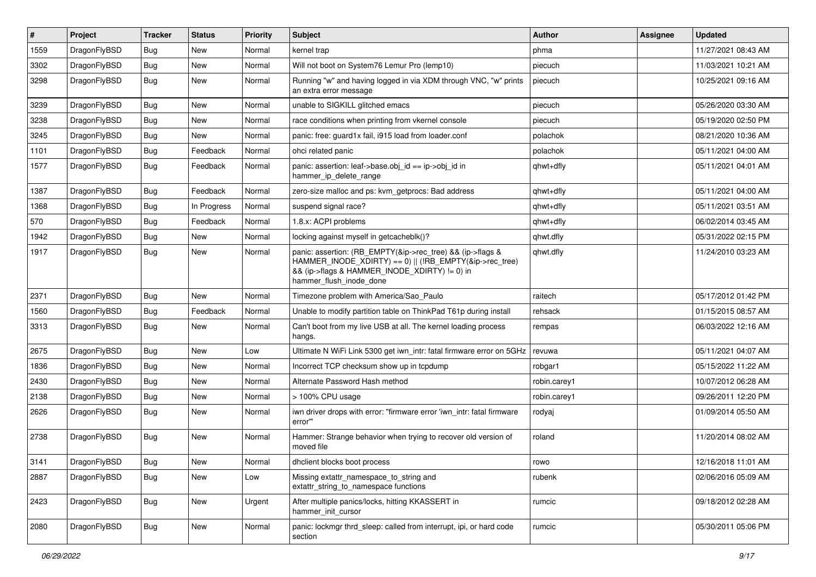| $\vert$ # | Project      | <b>Tracker</b> | <b>Status</b> | <b>Priority</b> | <b>Subject</b>                                                                                                                                                                                    | Author       | Assignee | <b>Updated</b>      |
|-----------|--------------|----------------|---------------|-----------------|---------------------------------------------------------------------------------------------------------------------------------------------------------------------------------------------------|--------------|----------|---------------------|
| 1559      | DragonFlyBSD | Bug            | New           | Normal          | kernel trap                                                                                                                                                                                       | phma         |          | 11/27/2021 08:43 AM |
| 3302      | DragonFlyBSD | Bug            | New           | Normal          | Will not boot on System76 Lemur Pro (lemp10)                                                                                                                                                      | piecuch      |          | 11/03/2021 10:21 AM |
| 3298      | DragonFlyBSD | Bug            | <b>New</b>    | Normal          | Running "w" and having logged in via XDM through VNC, "w" prints<br>an extra error message                                                                                                        | piecuch      |          | 10/25/2021 09:16 AM |
| 3239      | DragonFlyBSD | Bug            | <b>New</b>    | Normal          | unable to SIGKILL glitched emacs                                                                                                                                                                  | piecuch      |          | 05/26/2020 03:30 AM |
| 3238      | DragonFlyBSD | Bug            | New           | Normal          | race conditions when printing from vkernel console                                                                                                                                                | piecuch      |          | 05/19/2020 02:50 PM |
| 3245      | DragonFlyBSD | Bug            | New           | Normal          | panic: free: guard1x fail, i915 load from loader.conf                                                                                                                                             | polachok     |          | 08/21/2020 10:36 AM |
| 1101      | DragonFlyBSD | Bug            | Feedback      | Normal          | ohci related panic                                                                                                                                                                                | polachok     |          | 05/11/2021 04:00 AM |
| 1577      | DragonFlyBSD | Bug            | Feedback      | Normal          | panic: assertion: leaf->base.obj_id == ip->obj_id in<br>hammer_ip_delete_range                                                                                                                    | qhwt+dfly    |          | 05/11/2021 04:01 AM |
| 1387      | DragonFlyBSD | Bug            | Feedback      | Normal          | zero-size malloc and ps: kvm getprocs: Bad address                                                                                                                                                | qhwt+dfly    |          | 05/11/2021 04:00 AM |
| 1368      | DragonFlyBSD | Bug            | In Progress   | Normal          | suspend signal race?                                                                                                                                                                              | qhwt+dfly    |          | 05/11/2021 03:51 AM |
| 570       | DragonFlyBSD | Bug            | Feedback      | Normal          | 1.8.x: ACPI problems                                                                                                                                                                              | qhwt+dfly    |          | 06/02/2014 03:45 AM |
| 1942      | DragonFlyBSD | Bug            | New           | Normal          | locking against myself in getcacheblk()?                                                                                                                                                          | qhwt.dfly    |          | 05/31/2022 02:15 PM |
| 1917      | DragonFlyBSD | <b>Bug</b>     | New           | Normal          | panic: assertion: (RB_EMPTY(&ip->rec_tree) && (ip->flags &<br>HAMMER_INODE_XDIRTY) == 0)    (!RB_EMPTY(&ip->rec_tree)<br>&& (ip->flags & HAMMER_INODE_XDIRTY) != 0) in<br>hammer_flush_inode_done | qhwt.dfly    |          | 11/24/2010 03:23 AM |
| 2371      | DragonFlyBSD | Bug            | <b>New</b>    | Normal          | Timezone problem with America/Sao_Paulo                                                                                                                                                           | raitech      |          | 05/17/2012 01:42 PM |
| 1560      | DragonFlyBSD | <b>Bug</b>     | Feedback      | Normal          | Unable to modify partition table on ThinkPad T61p during install                                                                                                                                  | rehsack      |          | 01/15/2015 08:57 AM |
| 3313      | DragonFlyBSD | Bug            | New           | Normal          | Can't boot from my live USB at all. The kernel loading process<br>hangs.                                                                                                                          | rempas       |          | 06/03/2022 12:16 AM |
| 2675      | DragonFlyBSD | Bug            | New           | Low             | Ultimate N WiFi Link 5300 get iwn_intr: fatal firmware error on 5GHz                                                                                                                              | revuwa       |          | 05/11/2021 04:07 AM |
| 1836      | DragonFlyBSD | <b>Bug</b>     | New           | Normal          | Incorrect TCP checksum show up in tcpdump                                                                                                                                                         | robgar1      |          | 05/15/2022 11:22 AM |
| 2430      | DragonFlyBSD | <b>Bug</b>     | <b>New</b>    | Normal          | Alternate Password Hash method                                                                                                                                                                    | robin.carey1 |          | 10/07/2012 06:28 AM |
| 2138      | DragonFlyBSD | Bug            | New           | Normal          | > 100% CPU usage                                                                                                                                                                                  | robin.carey1 |          | 09/26/2011 12:20 PM |
| 2626      | DragonFlyBSD | <b>Bug</b>     | <b>New</b>    | Normal          | iwn driver drops with error: "firmware error 'iwn intr: fatal firmware<br>error"                                                                                                                  | rodyaj       |          | 01/09/2014 05:50 AM |
| 2738      | DragonFlyBSD | Bug            | New           | Normal          | Hammer: Strange behavior when trying to recover old version of<br>moved file                                                                                                                      | roland       |          | 11/20/2014 08:02 AM |
| 3141      | DragonFlyBSD | <b>Bug</b>     | <b>New</b>    | Normal          | dhclient blocks boot process                                                                                                                                                                      | rowo         |          | 12/16/2018 11:01 AM |
| 2887      | DragonFlyBSD | Bug            | New           | Low             | Missing extattr_namespace_to_string and<br>extattr_string_to_namespace functions                                                                                                                  | rubenk       |          | 02/06/2016 05:09 AM |
| 2423      | DragonFlyBSD | Bug            | <b>New</b>    | Urgent          | After multiple panics/locks, hitting KKASSERT in<br>hammer init cursor                                                                                                                            | rumcic       |          | 09/18/2012 02:28 AM |
| 2080      | DragonFlyBSD | <b>Bug</b>     | <b>New</b>    | Normal          | panic: lockmgr thrd_sleep: called from interrupt, ipi, or hard code<br>section                                                                                                                    | rumcic       |          | 05/30/2011 05:06 PM |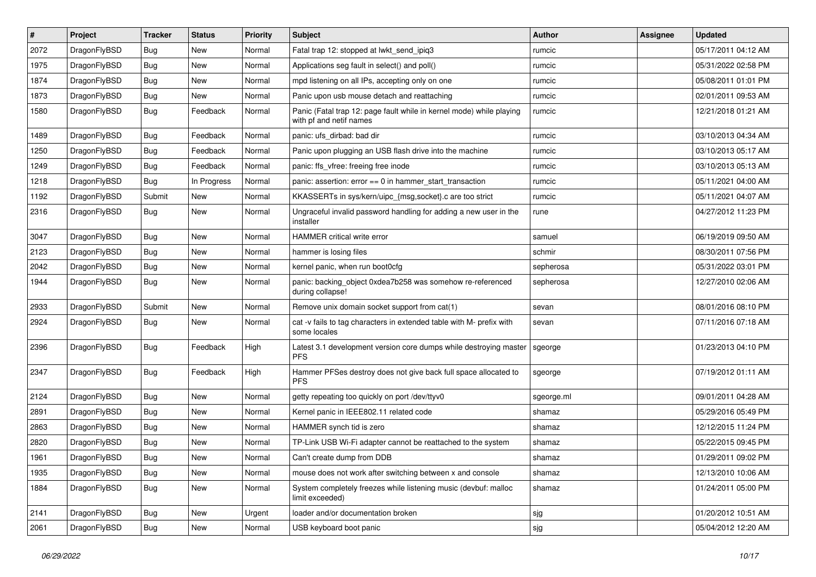| #    | Project      | <b>Tracker</b> | <b>Status</b> | <b>Priority</b> | Subject                                                                                         | Author     | Assignee | <b>Updated</b>      |
|------|--------------|----------------|---------------|-----------------|-------------------------------------------------------------------------------------------------|------------|----------|---------------------|
| 2072 | DragonFlyBSD | Bug            | <b>New</b>    | Normal          | Fatal trap 12: stopped at lwkt_send_ipiq3                                                       | rumcic     |          | 05/17/2011 04:12 AM |
| 1975 | DragonFlyBSD | Bug            | <b>New</b>    | Normal          | Applications seg fault in select() and poll()                                                   | rumcic     |          | 05/31/2022 02:58 PM |
| 1874 | DragonFlyBSD | <b>Bug</b>     | New           | Normal          | mpd listening on all IPs, accepting only on one                                                 | rumcic     |          | 05/08/2011 01:01 PM |
| 1873 | DragonFlyBSD | Bug            | <b>New</b>    | Normal          | Panic upon usb mouse detach and reattaching                                                     | rumcic     |          | 02/01/2011 09:53 AM |
| 1580 | DragonFlyBSD | <b>Bug</b>     | Feedback      | Normal          | Panic (Fatal trap 12: page fault while in kernel mode) while playing<br>with pf and netif names | rumcic     |          | 12/21/2018 01:21 AM |
| 1489 | DragonFlyBSD | Bug            | Feedback      | Normal          | panic: ufs dirbad: bad dir                                                                      | rumcic     |          | 03/10/2013 04:34 AM |
| 1250 | DragonFlyBSD | <b>Bug</b>     | Feedback      | Normal          | Panic upon plugging an USB flash drive into the machine                                         | rumcic     |          | 03/10/2013 05:17 AM |
| 1249 | DragonFlyBSD | Bug            | Feedback      | Normal          | panic: ffs_vfree: freeing free inode                                                            | rumcic     |          | 03/10/2013 05:13 AM |
| 1218 | DragonFlyBSD | Bug            | In Progress   | Normal          | panic: assertion: error == 0 in hammer_start_transaction                                        | rumcic     |          | 05/11/2021 04:00 AM |
| 1192 | DragonFlyBSD | Submit         | New           | Normal          | KKASSERTs in sys/kern/uipc_{msg,socket}.c are too strict                                        | rumcic     |          | 05/11/2021 04:07 AM |
| 2316 | DragonFlyBSD | Bug            | <b>New</b>    | Normal          | Ungraceful invalid password handling for adding a new user in the<br>installer                  | rune       |          | 04/27/2012 11:23 PM |
| 3047 | DragonFlyBSD | Bug            | <b>New</b>    | Normal          | HAMMER critical write error                                                                     | samuel     |          | 06/19/2019 09:50 AM |
| 2123 | DragonFlyBSD | Bug            | <b>New</b>    | Normal          | hammer is losing files                                                                          | schmir     |          | 08/30/2011 07:56 PM |
| 2042 | DragonFlyBSD | <b>Bug</b>     | <b>New</b>    | Normal          | kernel panic, when run boot0cfg                                                                 | sepherosa  |          | 05/31/2022 03:01 PM |
| 1944 | DragonFlyBSD | Bug            | New           | Normal          | panic: backing_object 0xdea7b258 was somehow re-referenced<br>during collapse!                  | sepherosa  |          | 12/27/2010 02:06 AM |
| 2933 | DragonFlyBSD | Submit         | New           | Normal          | Remove unix domain socket support from cat(1)                                                   | sevan      |          | 08/01/2016 08:10 PM |
| 2924 | DragonFlyBSD | Bug            | <b>New</b>    | Normal          | cat -v fails to tag characters in extended table with M- prefix with<br>some locales            | sevan      |          | 07/11/2016 07:18 AM |
| 2396 | DragonFlyBSD | Bug            | Feedback      | High            | Latest 3.1 development version core dumps while destroying master<br><b>PFS</b>                 | sgeorge    |          | 01/23/2013 04:10 PM |
| 2347 | DragonFlyBSD | Bug            | Feedback      | High            | Hammer PFSes destroy does not give back full space allocated to<br>PFS.                         | sgeorge    |          | 07/19/2012 01:11 AM |
| 2124 | DragonFlyBSD | <b>Bug</b>     | <b>New</b>    | Normal          | getty repeating too quickly on port /dev/ttyv0                                                  | sgeorge.ml |          | 09/01/2011 04:28 AM |
| 2891 | DragonFlyBSD | <b>Bug</b>     | <b>New</b>    | Normal          | Kernel panic in IEEE802.11 related code                                                         | shamaz     |          | 05/29/2016 05:49 PM |
| 2863 | DragonFlyBSD | Bug            | New           | Normal          | HAMMER synch tid is zero                                                                        | shamaz     |          | 12/12/2015 11:24 PM |
| 2820 | DragonFlyBSD | <b>Bug</b>     | <b>New</b>    | Normal          | TP-Link USB Wi-Fi adapter cannot be reattached to the system                                    | shamaz     |          | 05/22/2015 09:45 PM |
| 1961 | DragonFlyBSD | Bug            | New           | Normal          | Can't create dump from DDB                                                                      | shamaz     |          | 01/29/2011 09:02 PM |
| 1935 | DragonFlyBSD | <b>Bug</b>     | New           | Normal          | mouse does not work after switching between x and console                                       | shamaz     |          | 12/13/2010 10:06 AM |
| 1884 | DragonFlyBSD | <b>Bug</b>     | New           | Normal          | System completely freezes while listening music (devbuf: malloc<br>limit exceeded)              | shamaz     |          | 01/24/2011 05:00 PM |
| 2141 | DragonFlyBSD | Bug            | New           | Urgent          | loader and/or documentation broken                                                              | sjg        |          | 01/20/2012 10:51 AM |
| 2061 | DragonFlyBSD | Bug            | New           | Normal          | USB keyboard boot panic                                                                         | sjg        |          | 05/04/2012 12:20 AM |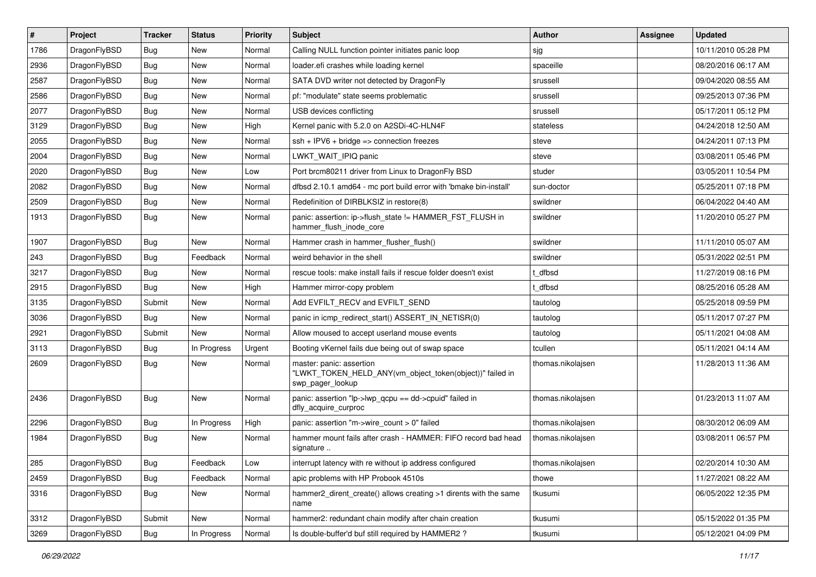| $\sharp$ | Project      | <b>Tracker</b> | <b>Status</b> | <b>Priority</b> | <b>Subject</b>                                                                                           | Author            | Assignee | <b>Updated</b>      |
|----------|--------------|----------------|---------------|-----------------|----------------------------------------------------------------------------------------------------------|-------------------|----------|---------------------|
| 1786     | DragonFlyBSD | <b>Bug</b>     | New           | Normal          | Calling NULL function pointer initiates panic loop                                                       | sjg               |          | 10/11/2010 05:28 PM |
| 2936     | DragonFlyBSD | Bug            | <b>New</b>    | Normal          | loader.efi crashes while loading kernel                                                                  | spaceille         |          | 08/20/2016 06:17 AM |
| 2587     | DragonFlyBSD | <b>Bug</b>     | <b>New</b>    | Normal          | SATA DVD writer not detected by DragonFly                                                                | srussell          |          | 09/04/2020 08:55 AM |
| 2586     | DragonFlyBSD | <b>Bug</b>     | New           | Normal          | pf: "modulate" state seems problematic                                                                   | srussell          |          | 09/25/2013 07:36 PM |
| 2077     | DragonFlyBSD | Bug            | <b>New</b>    | Normal          | USB devices conflicting                                                                                  | srussell          |          | 05/17/2011 05:12 PM |
| 3129     | DragonFlyBSD | <b>Bug</b>     | <b>New</b>    | High            | Kernel panic with 5.2.0 on A2SDi-4C-HLN4F                                                                | stateless         |          | 04/24/2018 12:50 AM |
| 2055     | DragonFlyBSD | <b>Bug</b>     | New           | Normal          | $ssh + IPV6 + bridge \Rightarrow connection freezes$                                                     | steve             |          | 04/24/2011 07:13 PM |
| 2004     | DragonFlyBSD | <b>Bug</b>     | <b>New</b>    | Normal          | LWKT WAIT IPIQ panic                                                                                     | steve             |          | 03/08/2011 05:46 PM |
| 2020     | DragonFlyBSD | <b>Bug</b>     | New           | Low             | Port brcm80211 driver from Linux to DragonFly BSD                                                        | studer            |          | 03/05/2011 10:54 PM |
| 2082     | DragonFlyBSD | Bug            | <b>New</b>    | Normal          | dfbsd 2.10.1 amd64 - mc port build error with 'bmake bin-install'                                        | sun-doctor        |          | 05/25/2011 07:18 PM |
| 2509     | DragonFlyBSD | <b>Bug</b>     | New           | Normal          | Redefinition of DIRBLKSIZ in restore(8)                                                                  | swildner          |          | 06/04/2022 04:40 AM |
| 1913     | DragonFlyBSD | <b>Bug</b>     | <b>New</b>    | Normal          | panic: assertion: ip->flush_state != HAMMER_FST_FLUSH in<br>hammer_flush_inode_core                      | swildner          |          | 11/20/2010 05:27 PM |
| 1907     | DragonFlyBSD | Bug            | New           | Normal          | Hammer crash in hammer_flusher_flush()                                                                   | swildner          |          | 11/11/2010 05:07 AM |
| 243      | DragonFlyBSD | <b>Bug</b>     | Feedback      | Normal          | weird behavior in the shell                                                                              | swildner          |          | 05/31/2022 02:51 PM |
| 3217     | DragonFlyBSD | <b>Bug</b>     | <b>New</b>    | Normal          | rescue tools: make install fails if rescue folder doesn't exist                                          | : dfbsd           |          | 11/27/2019 08:16 PM |
| 2915     | DragonFlyBSD | Bug            | New           | High            | Hammer mirror-copy problem                                                                               | t dfbsd           |          | 08/25/2016 05:28 AM |
| 3135     | DragonFlyBSD | Submit         | New           | Normal          | Add EVFILT_RECV and EVFILT_SEND                                                                          | tautolog          |          | 05/25/2018 09:59 PM |
| 3036     | DragonFlyBSD | <b>Bug</b>     | New           | Normal          | panic in icmp redirect start() ASSERT IN NETISR(0)                                                       | tautolog          |          | 05/11/2017 07:27 PM |
| 2921     | DragonFlyBSD | Submit         | <b>New</b>    | Normal          | Allow moused to accept userland mouse events                                                             | tautolog          |          | 05/11/2021 04:08 AM |
| 3113     | DragonFlyBSD | <b>Bug</b>     | In Progress   | Urgent          | Booting vKernel fails due being out of swap space                                                        | tcullen           |          | 05/11/2021 04:14 AM |
| 2609     | DragonFlyBSD | <b>Bug</b>     | New           | Normal          | master: panic: assertion<br>"LWKT_TOKEN_HELD_ANY(vm_object_token(object))" failed in<br>swp_pager_lookup | thomas.nikolajsen |          | 11/28/2013 11:36 AM |
| 2436     | DragonFlyBSD | Bug            | New           | Normal          | panic: assertion "lp->lwp_qcpu == dd->cpuid" failed in<br>dfly_acquire_curproc                           | thomas.nikolajsen |          | 01/23/2013 11:07 AM |
| 2296     | DragonFlyBSD | Bug            | In Progress   | High            | panic: assertion "m->wire count > 0" failed                                                              | thomas.nikolajsen |          | 08/30/2012 06:09 AM |
| 1984     | DragonFlyBSD | <b>Bug</b>     | <b>New</b>    | Normal          | hammer mount fails after crash - HAMMER: FIFO record bad head<br>signature                               | thomas.nikolajsen |          | 03/08/2011 06:57 PM |
| 285      | DragonFlyBSD | <b>Bug</b>     | Feedback      | Low             | interrupt latency with re without ip address configured                                                  | thomas.nikolajsen |          | 02/20/2014 10:30 AM |
| 2459     | DragonFlyBSD | <b>Bug</b>     | Feedback      | Normal          | apic problems with HP Probook 4510s                                                                      | thowe             |          | 11/27/2021 08:22 AM |
| 3316     | DragonFlyBSD | <b>Bug</b>     | New           | Normal          | hammer2_dirent_create() allows creating >1 dirents with the same<br>name                                 | tkusumi           |          | 06/05/2022 12:35 PM |
| 3312     | DragonFlyBSD | Submit         | New           | Normal          | hammer2: redundant chain modify after chain creation                                                     | tkusumi           |          | 05/15/2022 01:35 PM |
| 3269     | DragonFlyBSD | Bug            | In Progress   | Normal          | Is double-buffer'd buf still required by HAMMER2?                                                        | tkusumi           |          | 05/12/2021 04:09 PM |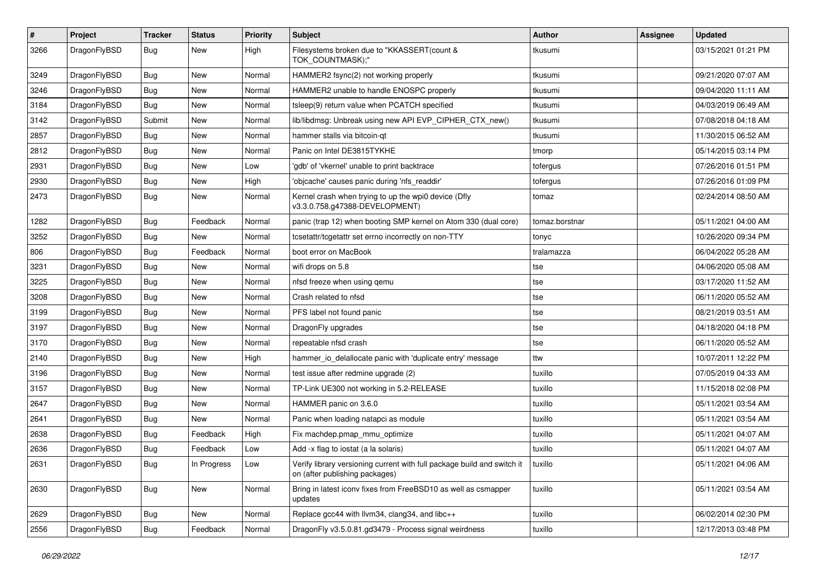| #    | Project      | <b>Tracker</b> | <b>Status</b> | <b>Priority</b> | Subject                                                                                                   | Author         | <b>Assignee</b> | <b>Updated</b>      |
|------|--------------|----------------|---------------|-----------------|-----------------------------------------------------------------------------------------------------------|----------------|-----------------|---------------------|
| 3266 | DragonFlyBSD | Bug            | New           | High            | Filesystems broken due to "KKASSERT(count &<br>TOK_COUNTMASK);"                                           | tkusumi        |                 | 03/15/2021 01:21 PM |
| 3249 | DragonFlyBSD | <b>Bug</b>     | <b>New</b>    | Normal          | HAMMER2 fsync(2) not working properly                                                                     | tkusumi        |                 | 09/21/2020 07:07 AM |
| 3246 | DragonFlyBSD | Bug            | New           | Normal          | HAMMER2 unable to handle ENOSPC properly                                                                  | tkusumi        |                 | 09/04/2020 11:11 AM |
| 3184 | DragonFlyBSD | Bug            | New           | Normal          | tsleep(9) return value when PCATCH specified                                                              | tkusumi        |                 | 04/03/2019 06:49 AM |
| 3142 | DragonFlyBSD | Submit         | New           | Normal          | lib/libdmsg: Unbreak using new API EVP_CIPHER_CTX_new()                                                   | tkusumi        |                 | 07/08/2018 04:18 AM |
| 2857 | DragonFlyBSD | Bug            | <b>New</b>    | Normal          | hammer stalls via bitcoin-qt                                                                              | tkusumi        |                 | 11/30/2015 06:52 AM |
| 2812 | DragonFlyBSD | <b>Bug</b>     | New           | Normal          | Panic on Intel DE3815TYKHE                                                                                | tmorp          |                 | 05/14/2015 03:14 PM |
| 2931 | DragonFlyBSD | Bug            | New           | Low             | 'gdb' of 'vkernel' unable to print backtrace                                                              | tofergus       |                 | 07/26/2016 01:51 PM |
| 2930 | DragonFlyBSD | Bug            | <b>New</b>    | High            | 'objcache' causes panic during 'nfs_readdir'                                                              | tofergus       |                 | 07/26/2016 01:09 PM |
| 2473 | DragonFlyBSD | <b>Bug</b>     | New           | Normal          | Kernel crash when trying to up the wpi0 device (Dfly<br>v3.3.0.758.g47388-DEVELOPMENT)                    | tomaz          |                 | 02/24/2014 08:50 AM |
| 1282 | DragonFlyBSD | <b>Bug</b>     | Feedback      | Normal          | panic (trap 12) when booting SMP kernel on Atom 330 (dual core)                                           | tomaz.borstnar |                 | 05/11/2021 04:00 AM |
| 3252 | DragonFlyBSD | Bug            | New           | Normal          | tcsetattr/tcgetattr set errno incorrectly on non-TTY                                                      | tonyc          |                 | 10/26/2020 09:34 PM |
| 806  | DragonFlyBSD | Bug            | Feedback      | Normal          | boot error on MacBook                                                                                     | tralamazza     |                 | 06/04/2022 05:28 AM |
| 3231 | DragonFlyBSD | <b>Bug</b>     | <b>New</b>    | Normal          | wifi drops on 5.8                                                                                         | tse            |                 | 04/06/2020 05:08 AM |
| 3225 | DragonFlyBSD | Bug            | <b>New</b>    | Normal          | nfsd freeze when using gemu                                                                               | tse            |                 | 03/17/2020 11:52 AM |
| 3208 | DragonFlyBSD | Bug            | <b>New</b>    | Normal          | Crash related to nfsd                                                                                     | tse            |                 | 06/11/2020 05:52 AM |
| 3199 | DragonFlyBSD | <b>Bug</b>     | New           | Normal          | PFS label not found panic                                                                                 | tse            |                 | 08/21/2019 03:51 AM |
| 3197 | DragonFlyBSD | Bug            | <b>New</b>    | Normal          | DragonFly upgrades                                                                                        | tse            |                 | 04/18/2020 04:18 PM |
| 3170 | DragonFlyBSD | <b>Bug</b>     | New           | Normal          | repeatable nfsd crash                                                                                     | tse            |                 | 06/11/2020 05:52 AM |
| 2140 | DragonFlyBSD | Bug            | New           | High            | hammer_io_delallocate panic with 'duplicate entry' message                                                | ttw            |                 | 10/07/2011 12:22 PM |
| 3196 | DragonFlyBSD | <b>Bug</b>     | New           | Normal          | test issue after redmine upgrade (2)                                                                      | tuxillo        |                 | 07/05/2019 04:33 AM |
| 3157 | DragonFlyBSD | <b>Bug</b>     | New           | Normal          | TP-Link UE300 not working in 5.2-RELEASE                                                                  | tuxillo        |                 | 11/15/2018 02:08 PM |
| 2647 | DragonFlyBSD | Bug            | <b>New</b>    | Normal          | HAMMER panic on 3.6.0                                                                                     | tuxillo        |                 | 05/11/2021 03:54 AM |
| 2641 | DragonFlyBSD | Bug            | New           | Normal          | Panic when loading natapci as module                                                                      | tuxillo        |                 | 05/11/2021 03:54 AM |
| 2638 | DragonFlyBSD | <b>Bug</b>     | Feedback      | High            | Fix machdep.pmap_mmu_optimize                                                                             | tuxillo        |                 | 05/11/2021 04:07 AM |
| 2636 | DragonFlyBSD | Bug            | Feedback      | Low             | Add -x flag to iostat (a la solaris)                                                                      | tuxillo        |                 | 05/11/2021 04:07 AM |
| 2631 | DragonFlyBSD | Bug            | In Progress   | Low             | Verify library versioning current with full package build and switch it<br>on (after publishing packages) | tuxillo        |                 | 05/11/2021 04:06 AM |
| 2630 | DragonFlyBSD | <b>Bug</b>     | New           | Normal          | Bring in latest iconv fixes from FreeBSD10 as well as csmapper<br>updates                                 | tuxillo        |                 | 05/11/2021 03:54 AM |
| 2629 | DragonFlyBSD | Bug            | New           | Normal          | Replace gcc44 with llvm34, clang34, and libc++                                                            | tuxillo        |                 | 06/02/2014 02:30 PM |
| 2556 | DragonFlyBSD | Bug            | Feedback      | Normal          | DragonFly v3.5.0.81.gd3479 - Process signal weirdness                                                     | tuxillo        |                 | 12/17/2013 03:48 PM |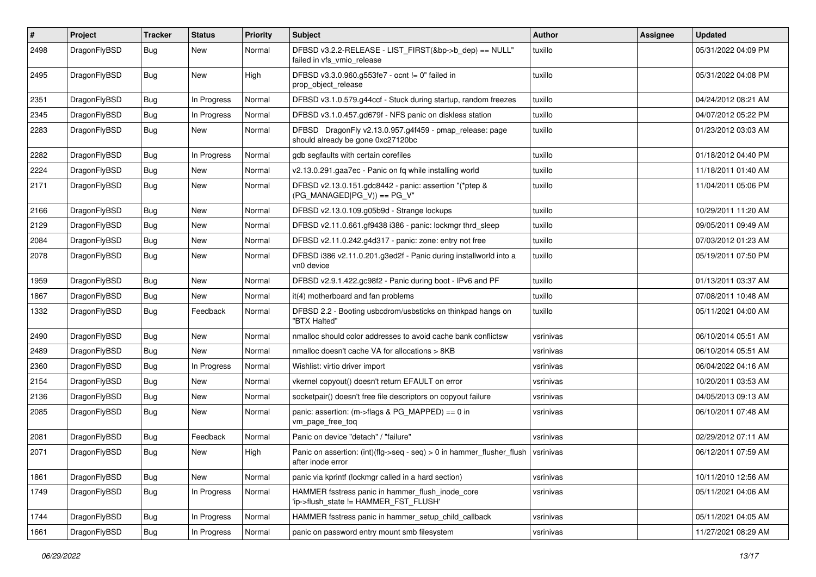| #    | Project      | <b>Tracker</b> | <b>Status</b> | <b>Priority</b> | <b>Subject</b>                                                                               | <b>Author</b> | Assignee | <b>Updated</b>      |
|------|--------------|----------------|---------------|-----------------|----------------------------------------------------------------------------------------------|---------------|----------|---------------------|
| 2498 | DragonFlyBSD | Bug            | New           | Normal          | DFBSD v3.2.2-RELEASE - LIST_FIRST(&bp->b_dep) == NULL"<br>failed in vfs vmio release         | tuxillo       |          | 05/31/2022 04:09 PM |
| 2495 | DragonFlyBSD | Bug            | <b>New</b>    | High            | DFBSD v3.3.0.960.g553fe7 - ocnt != 0" failed in<br>prop_object_release                       | tuxillo       |          | 05/31/2022 04:08 PM |
| 2351 | DragonFlyBSD | Bug            | In Progress   | Normal          | DFBSD v3.1.0.579.g44ccf - Stuck during startup, random freezes                               | tuxillo       |          | 04/24/2012 08:21 AM |
| 2345 | DragonFlyBSD | <b>Bug</b>     | In Progress   | Normal          | DFBSD v3.1.0.457.gd679f - NFS panic on diskless station                                      | tuxillo       |          | 04/07/2012 05:22 PM |
| 2283 | DragonFlyBSD | Bug            | New           | Normal          | DFBSD DragonFly v2.13.0.957.g4f459 - pmap_release: page<br>should already be gone 0xc27120bc | tuxillo       |          | 01/23/2012 03:03 AM |
| 2282 | DragonFlyBSD | Bug            | In Progress   | Normal          | gdb segfaults with certain corefiles                                                         | tuxillo       |          | 01/18/2012 04:40 PM |
| 2224 | DragonFlyBSD | <b>Bug</b>     | <b>New</b>    | Normal          | v2.13.0.291.gaa7ec - Panic on fq while installing world                                      | tuxillo       |          | 11/18/2011 01:40 AM |
| 2171 | DragonFlyBSD | Bug            | New           | Normal          | DFBSD v2.13.0.151.gdc8442 - panic: assertion "(*ptep &<br>$(PG_MANAGED PG_V)) == PG_V"$      | tuxillo       |          | 11/04/2011 05:06 PM |
| 2166 | DragonFlyBSD | Bug            | <b>New</b>    | Normal          | DFBSD v2.13.0.109.g05b9d - Strange lockups                                                   | tuxillo       |          | 10/29/2011 11:20 AM |
| 2129 | DragonFlyBSD | Bug            | New           | Normal          | DFBSD v2.11.0.661.gf9438 i386 - panic: lockmgr thrd sleep                                    | tuxillo       |          | 09/05/2011 09:49 AM |
| 2084 | DragonFlyBSD | <b>Bug</b>     | <b>New</b>    | Normal          | DFBSD v2.11.0.242.g4d317 - panic: zone: entry not free                                       | tuxillo       |          | 07/03/2012 01:23 AM |
| 2078 | DragonFlyBSD | Bug            | New           | Normal          | DFBSD i386 v2.11.0.201.g3ed2f - Panic during installworld into a<br>vn0 device               | tuxillo       |          | 05/19/2011 07:50 PM |
| 1959 | DragonFlyBSD | Bug            | <b>New</b>    | Normal          | DFBSD v2.9.1.422.gc98f2 - Panic during boot - IPv6 and PF                                    | tuxillo       |          | 01/13/2011 03:37 AM |
| 1867 | DragonFlyBSD | Bug            | <b>New</b>    | Normal          | it(4) motherboard and fan problems                                                           | tuxillo       |          | 07/08/2011 10:48 AM |
| 1332 | DragonFlyBSD | Bug            | Feedback      | Normal          | DFBSD 2.2 - Booting usbcdrom/usbsticks on thinkpad hangs on<br>"BTX Halted"                  | tuxillo       |          | 05/11/2021 04:00 AM |
| 2490 | DragonFlyBSD | <b>Bug</b>     | New           | Normal          | nmalloc should color addresses to avoid cache bank conflictsw                                | vsrinivas     |          | 06/10/2014 05:51 AM |
| 2489 | DragonFlyBSD | Bug            | <b>New</b>    | Normal          | nmalloc doesn't cache VA for allocations > 8KB                                               | vsrinivas     |          | 06/10/2014 05:51 AM |
| 2360 | DragonFlyBSD | Bug            | In Progress   | Normal          | Wishlist: virtio driver import                                                               | vsrinivas     |          | 06/04/2022 04:16 AM |
| 2154 | DragonFlyBSD | <b>Bug</b>     | <b>New</b>    | Normal          | vkernel copyout() doesn't return EFAULT on error                                             | vsrinivas     |          | 10/20/2011 03:53 AM |
| 2136 | DragonFlyBSD | Bug            | <b>New</b>    | Normal          | socketpair() doesn't free file descriptors on copyout failure                                | vsrinivas     |          | 04/05/2013 09:13 AM |
| 2085 | DragonFlyBSD | <b>Bug</b>     | <b>New</b>    | Normal          | panic: assertion: (m->flags & PG_MAPPED) == 0 in<br>vm_page_free_toq                         | vsrinivas     |          | 06/10/2011 07:48 AM |
| 2081 | DragonFlyBSD | Bug            | Feedback      | Normal          | Panic on device "detach" / "failure"                                                         | vsrinivas     |          | 02/29/2012 07:11 AM |
| 2071 | DragonFlyBSD | Bug            | New           | High            | Panic on assertion: (int)(flg->seq - seq) > 0 in hammer_flusher_flush<br>after inode error   | vsrinivas     |          | 06/12/2011 07:59 AM |
| 1861 | DragonFlyBSD | Bug            | New           | Normal          | panic via kprintf (lockmgr called in a hard section)                                         | vsrinivas     |          | 10/11/2010 12:56 AM |
| 1749 | DragonFlyBSD | <b>Bug</b>     | In Progress   | Normal          | HAMMER fsstress panic in hammer_flush_inode_core<br>'ip->flush_state != HAMMER_FST_FLUSH'    | vsrinivas     |          | 05/11/2021 04:06 AM |
| 1744 | DragonFlyBSD | <b>Bug</b>     | In Progress   | Normal          | HAMMER fsstress panic in hammer_setup_child_callback                                         | vsrinivas     |          | 05/11/2021 04:05 AM |
| 1661 | DragonFlyBSD | <b>Bug</b>     | In Progress   | Normal          | panic on password entry mount smb filesystem                                                 | vsrinivas     |          | 11/27/2021 08:29 AM |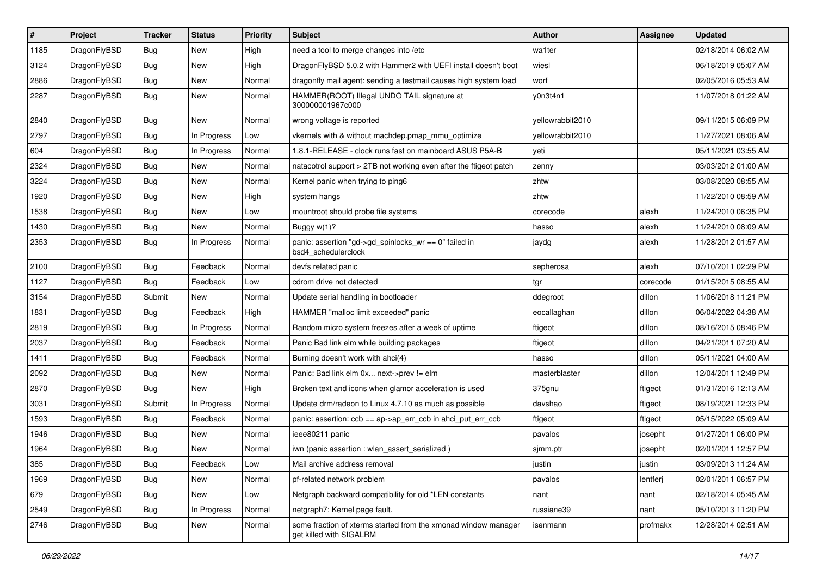| $\sharp$ | Project      | <b>Tracker</b> | <b>Status</b> | <b>Priority</b> | <b>Subject</b>                                                                            | <b>Author</b>    | Assignee | <b>Updated</b>      |
|----------|--------------|----------------|---------------|-----------------|-------------------------------------------------------------------------------------------|------------------|----------|---------------------|
| 1185     | DragonFlyBSD | <b>Bug</b>     | New           | High            | need a tool to merge changes into /etc                                                    | wa1ter           |          | 02/18/2014 06:02 AM |
| 3124     | DragonFlyBSD | Bug            | New           | High            | DragonFlyBSD 5.0.2 with Hammer2 with UEFI install doesn't boot                            | wiesl            |          | 06/18/2019 05:07 AM |
| 2886     | DragonFlyBSD | <b>Bug</b>     | New           | Normal          | dragonfly mail agent: sending a testmail causes high system load                          | worf             |          | 02/05/2016 05:53 AM |
| 2287     | DragonFlyBSD | <b>Bug</b>     | <b>New</b>    | Normal          | HAMMER(ROOT) Illegal UNDO TAIL signature at<br>300000001967c000                           | y0n3t4n1         |          | 11/07/2018 01:22 AM |
| 2840     | DragonFlyBSD | Bug            | New           | Normal          | wrong voltage is reported                                                                 | yellowrabbit2010 |          | 09/11/2015 06:09 PM |
| 2797     | DragonFlyBSD | <b>Bug</b>     | In Progress   | Low             | vkernels with & without machdep.pmap_mmu_optimize                                         | vellowrabbit2010 |          | 11/27/2021 08:06 AM |
| 604      | DragonFlyBSD | <b>Bug</b>     | In Progress   | Normal          | 1.8.1-RELEASE - clock runs fast on mainboard ASUS P5A-B                                   | yeti             |          | 05/11/2021 03:55 AM |
| 2324     | DragonFlyBSD | <b>Bug</b>     | New           | Normal          | natacotrol support > 2TB not working even after the ftigeot patch                         | zenny            |          | 03/03/2012 01:00 AM |
| 3224     | DragonFlyBSD | Bug            | <b>New</b>    | Normal          | Kernel panic when trying to ping6                                                         | zhtw             |          | 03/08/2020 08:55 AM |
| 1920     | DragonFlyBSD | <b>Bug</b>     | <b>New</b>    | High            | system hangs                                                                              | zhtw             |          | 11/22/2010 08:59 AM |
| 1538     | DragonFlyBSD | <b>Bug</b>     | New           | Low             | mountroot should probe file systems                                                       | corecode         | alexh    | 11/24/2010 06:35 PM |
| 1430     | DragonFlyBSD | <b>Bug</b>     | <b>New</b>    | Normal          | Buggy w(1)?                                                                               | hasso            | alexh    | 11/24/2010 08:09 AM |
| 2353     | DragonFlyBSD | <b>Bug</b>     | In Progress   | Normal          | panic: assertion "gd->gd_spinlocks_wr == 0" failed in<br>bsd4_schedulerclock              | jaydg            | alexh    | 11/28/2012 01:57 AM |
| 2100     | DragonFlyBSD | Bug            | Feedback      | Normal          | devfs related panic                                                                       | sepherosa        | alexh    | 07/10/2011 02:29 PM |
| 1127     | DragonFlyBSD | <b>Bug</b>     | Feedback      | Low             | cdrom drive not detected                                                                  | tgr              | corecode | 01/15/2015 08:55 AM |
| 3154     | DragonFlyBSD | Submit         | New           | Normal          | Update serial handling in bootloader                                                      | ddegroot         | dillon   | 11/06/2018 11:21 PM |
| 1831     | DragonFlyBSD | <b>Bug</b>     | Feedback      | High            | HAMMER "malloc limit exceeded" panic                                                      | eocallaghan      | dillon   | 06/04/2022 04:38 AM |
| 2819     | DragonFlyBSD | <b>Bug</b>     | In Progress   | Normal          | Random micro system freezes after a week of uptime                                        | ftigeot          | dillon   | 08/16/2015 08:46 PM |
| 2037     | DragonFlyBSD | <b>Bug</b>     | Feedback      | Normal          | Panic Bad link elm while building packages                                                | ftigeot          | dillon   | 04/21/2011 07:20 AM |
| 1411     | DragonFlyBSD | <b>Bug</b>     | Feedback      | Normal          | Burning doesn't work with ahci(4)                                                         | hasso            | dillon   | 05/11/2021 04:00 AM |
| 2092     | DragonFlyBSD | Bug            | New           | Normal          | Panic: Bad link elm 0x next->prev != elm                                                  | masterblaster    | dillon   | 12/04/2011 12:49 PM |
| 2870     | DragonFlyBSD | <b>Bug</b>     | New           | High            | Broken text and icons when glamor acceleration is used                                    | 375gnu           | ftigeot  | 01/31/2016 12:13 AM |
| 3031     | DragonFlyBSD | Submit         | In Progress   | Normal          | Update drm/radeon to Linux 4.7.10 as much as possible                                     | davshao          | ftigeot  | 08/19/2021 12:33 PM |
| 1593     | DragonFlyBSD | <b>Bug</b>     | Feedback      | Normal          | panic: assertion: ccb == ap->ap_err_ccb in ahci_put_err_ccb                               | ftigeot          | ftigeot  | 05/15/2022 05:09 AM |
| 1946     | DragonFlyBSD | <b>Bug</b>     | <b>New</b>    | Normal          | ieee80211 panic                                                                           | pavalos          | josepht  | 01/27/2011 06:00 PM |
| 1964     | DragonFlyBSD | <b>Bug</b>     | New           | Normal          | iwn (panic assertion : wlan assert serialized)                                            | sjmm.ptr         | josepht  | 02/01/2011 12:57 PM |
| 385      | DragonFlyBSD | <b>Bug</b>     | Feedback      | Low             | Mail archive address removal                                                              | justin           | justin   | 03/09/2013 11:24 AM |
| 1969     | DragonFlyBSD | <b>Bug</b>     | New           | Normal          | pf-related network problem                                                                | pavalos          | lentferj | 02/01/2011 06:57 PM |
| 679      | DragonFlyBSD | <b>Bug</b>     | New           | Low             | Netgraph backward compatibility for old *LEN constants                                    | nant             | nant     | 02/18/2014 05:45 AM |
| 2549     | DragonFlyBSD | <b>Bug</b>     | In Progress   | Normal          | netgraph7: Kernel page fault.                                                             | russiane39       | nant     | 05/10/2013 11:20 PM |
| 2746     | DragonFlyBSD | Bug            | New           | Normal          | some fraction of xterms started from the xmonad window manager<br>get killed with SIGALRM | isenmann         | profmakx | 12/28/2014 02:51 AM |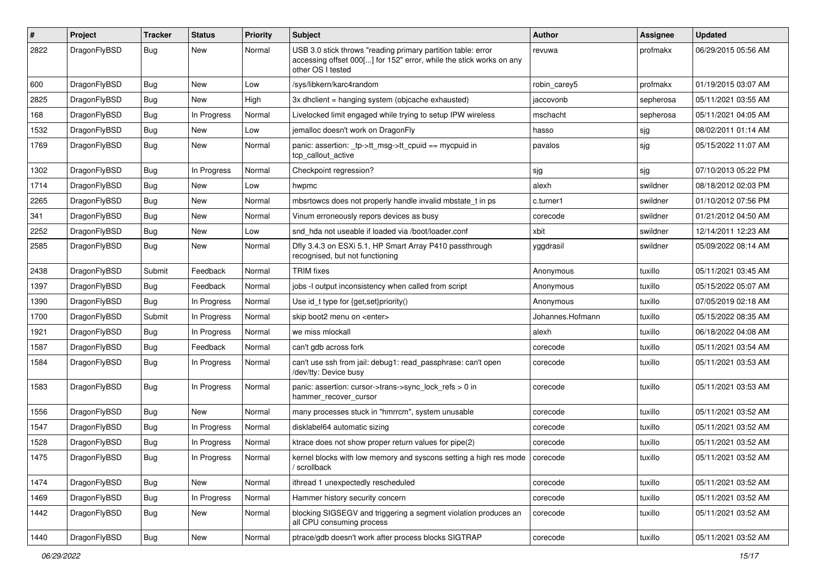| #    | Project      | <b>Tracker</b> | <b>Status</b> | <b>Priority</b> | Subject                                                                                                                                                  | Author           | Assignee  | <b>Updated</b>      |
|------|--------------|----------------|---------------|-----------------|----------------------------------------------------------------------------------------------------------------------------------------------------------|------------------|-----------|---------------------|
| 2822 | DragonFlyBSD | Bug            | New           | Normal          | USB 3.0 stick throws "reading primary partition table: error<br>accessing offset 000[] for 152" error, while the stick works on any<br>other OS I tested | revuwa           | profmakx  | 06/29/2015 05:56 AM |
| 600  | DragonFlyBSD | <b>Bug</b>     | New           | Low             | /sys/libkern/karc4random                                                                                                                                 | robin carey5     | profmakx  | 01/19/2015 03:07 AM |
| 2825 | DragonFlyBSD | <b>Bug</b>     | <b>New</b>    | High            | 3x dhclient = hanging system (objcache exhausted)                                                                                                        | jaccovonb        | sepherosa | 05/11/2021 03:55 AM |
| 168  | DragonFlyBSD | <b>Bug</b>     | In Progress   | Normal          | Livelocked limit engaged while trying to setup IPW wireless                                                                                              | mschacht         | sepherosa | 05/11/2021 04:05 AM |
| 1532 | DragonFlyBSD | Bug            | New           | Low             | jemalloc doesn't work on DragonFly                                                                                                                       | hasso            | sjg       | 08/02/2011 01:14 AM |
| 1769 | DragonFlyBSD | <b>Bug</b>     | New           | Normal          | panic: assertion: _tp->tt_msg->tt_cpuid == mycpuid in<br>tcp_callout_active                                                                              | pavalos          | sjg       | 05/15/2022 11:07 AM |
| 1302 | DragonFlyBSD | <b>Bug</b>     | In Progress   | Normal          | Checkpoint regression?                                                                                                                                   | sjg              | sjg       | 07/10/2013 05:22 PM |
| 1714 | DragonFlyBSD | Bug            | New           | Low             | hwpmc                                                                                                                                                    | alexh            | swildner  | 08/18/2012 02:03 PM |
| 2265 | DragonFlyBSD | Bug            | New           | Normal          | mbsrtowcs does not properly handle invalid mbstate_t in ps                                                                                               | c.turner1        | swildner  | 01/10/2012 07:56 PM |
| 341  | DragonFlyBSD | <b>Bug</b>     | New           | Normal          | Vinum erroneously repors devices as busy                                                                                                                 | corecode         | swildner  | 01/21/2012 04:50 AM |
| 2252 | DragonFlyBSD | <b>Bug</b>     | New           | Low             | snd hda not useable if loaded via /boot/loader.conf                                                                                                      | xbit             | swildner  | 12/14/2011 12:23 AM |
| 2585 | DragonFlyBSD | Bug            | New           | Normal          | Dfly 3.4.3 on ESXi 5.1, HP Smart Array P410 passthrough<br>recognised, but not functioning                                                               | yggdrasil        | swildner  | 05/09/2022 08:14 AM |
| 2438 | DragonFlyBSD | Submit         | Feedback      | Normal          | <b>TRIM</b> fixes                                                                                                                                        | Anonymous        | tuxillo   | 05/11/2021 03:45 AM |
| 1397 | DragonFlyBSD | Bug            | Feedback      | Normal          | jobs -I output inconsistency when called from script                                                                                                     | Anonymous        | tuxillo   | 05/15/2022 05:07 AM |
| 1390 | DragonFlyBSD | <b>Bug</b>     | In Progress   | Normal          | Use id_t type for {get,set}priority()                                                                                                                    | Anonymous        | tuxillo   | 07/05/2019 02:18 AM |
| 1700 | DragonFlyBSD | Submit         | In Progress   | Normal          | skip boot2 menu on <enter></enter>                                                                                                                       | Johannes.Hofmann | tuxillo   | 05/15/2022 08:35 AM |
| 1921 | DragonFlyBSD | Bug            | In Progress   | Normal          | we miss mlockall                                                                                                                                         | alexh            | tuxillo   | 06/18/2022 04:08 AM |
| 1587 | DragonFlyBSD | <b>Bug</b>     | Feedback      | Normal          | can't gdb across fork                                                                                                                                    | corecode         | tuxillo   | 05/11/2021 03:54 AM |
| 1584 | DragonFlyBSD | Bug            | In Progress   | Normal          | can't use ssh from jail: debug1: read_passphrase: can't open<br>/dev/tty: Device busy                                                                    | corecode         | tuxillo   | 05/11/2021 03:53 AM |
| 1583 | DragonFlyBSD | Bug            | In Progress   | Normal          | panic: assertion: cursor->trans->sync_lock_refs > 0 in<br>hammer_recover_cursor                                                                          | corecode         | tuxillo   | 05/11/2021 03:53 AM |
| 1556 | DragonFlyBSD | <b>Bug</b>     | New           | Normal          | many processes stuck in "hmrrcm", system unusable                                                                                                        | corecode         | tuxillo   | 05/11/2021 03:52 AM |
| 1547 | DragonFlyBSD | Bug            | In Progress   | Normal          | disklabel64 automatic sizing                                                                                                                             | corecode         | tuxillo   | 05/11/2021 03:52 AM |
| 1528 | DragonFlyBSD | <b>Bug</b>     | In Progress   | Normal          | ktrace does not show proper return values for pipe(2)                                                                                                    | corecode         | tuxillo   | 05/11/2021 03:52 AM |
| 1475 | DragonFlyBSD | Bug            | In Progress   | Normal          | kernel blocks with low memory and syscons setting a high res mode<br>scrollback                                                                          | corecode         | tuxillo   | 05/11/2021 03:52 AM |
| 1474 | DragonFlyBSD | Bug            | New           | Normal          | ithread 1 unexpectedly rescheduled                                                                                                                       | corecode         | tuxillo   | 05/11/2021 03:52 AM |
| 1469 | DragonFlyBSD | Bug            | In Progress   | Normal          | Hammer history security concern                                                                                                                          | corecode         | tuxillo   | 05/11/2021 03:52 AM |
| 1442 | DragonFlyBSD | Bug            | New           | Normal          | blocking SIGSEGV and triggering a segment violation produces an<br>all CPU consuming process                                                             | corecode         | tuxillo   | 05/11/2021 03:52 AM |
| 1440 | DragonFlyBSD | <b>Bug</b>     | New           | Normal          | ptrace/gdb doesn't work after process blocks SIGTRAP                                                                                                     | corecode         | tuxillo   | 05/11/2021 03:52 AM |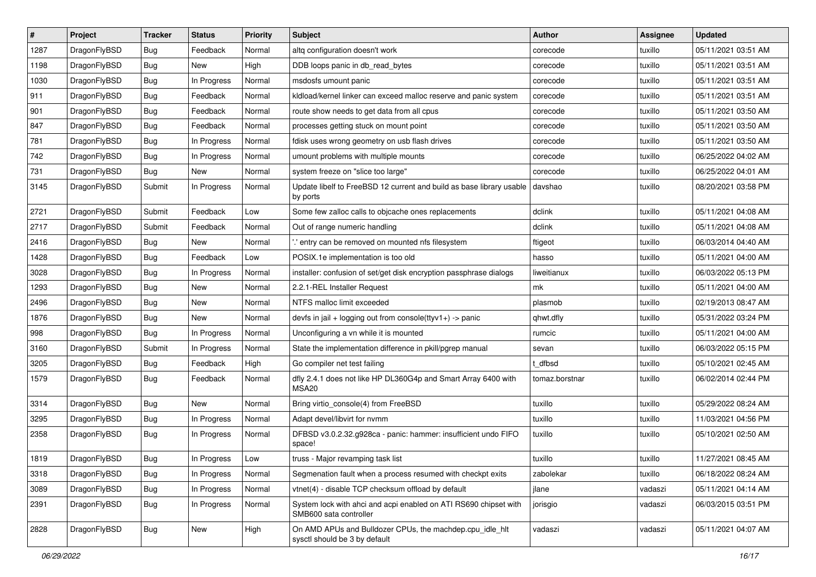| $\pmb{\#}$ | Project      | <b>Tracker</b> | <b>Status</b> | <b>Priority</b> | Subject                                                                                    | <b>Author</b>  | <b>Assignee</b> | <b>Updated</b>      |
|------------|--------------|----------------|---------------|-----------------|--------------------------------------------------------------------------------------------|----------------|-----------------|---------------------|
| 1287       | DragonFlyBSD | Bug            | Feedback      | Normal          | altq configuration doesn't work                                                            | corecode       | tuxillo         | 05/11/2021 03:51 AM |
| 1198       | DragonFlyBSD | Bug            | <b>New</b>    | High            | DDB loops panic in db_read_bytes                                                           | corecode       | tuxillo         | 05/11/2021 03:51 AM |
| 1030       | DragonFlyBSD | Bug            | In Progress   | Normal          | msdosfs umount panic                                                                       | corecode       | tuxillo         | 05/11/2021 03:51 AM |
| 911        | DragonFlyBSD | Bug            | Feedback      | Normal          | kldload/kernel linker can exceed malloc reserve and panic system                           | corecode       | tuxillo         | 05/11/2021 03:51 AM |
| 901        | DragonFlyBSD | Bug            | Feedback      | Normal          | route show needs to get data from all cpus                                                 | corecode       | tuxillo         | 05/11/2021 03:50 AM |
| 847        | DragonFlyBSD | Bug            | Feedback      | Normal          | processes getting stuck on mount point                                                     | corecode       | tuxillo         | 05/11/2021 03:50 AM |
| 781        | DragonFlyBSD | Bug            | In Progress   | Normal          | fdisk uses wrong geometry on usb flash drives                                              | corecode       | tuxillo         | 05/11/2021 03:50 AM |
| 742        | DragonFlyBSD | Bug            | In Progress   | Normal          | umount problems with multiple mounts                                                       | corecode       | tuxillo         | 06/25/2022 04:02 AM |
| 731        | DragonFlyBSD | Bug            | <b>New</b>    | Normal          | system freeze on "slice too large"                                                         | corecode       | tuxillo         | 06/25/2022 04:01 AM |
| 3145       | DragonFlyBSD | Submit         | In Progress   | Normal          | Update libelf to FreeBSD 12 current and build as base library usable<br>by ports           | davshao        | tuxillo         | 08/20/2021 03:58 PM |
| 2721       | DragonFlyBSD | Submit         | Feedback      | Low             | Some few zalloc calls to objcache ones replacements                                        | dclink         | tuxillo         | 05/11/2021 04:08 AM |
| 2717       | DragonFlyBSD | Submit         | Feedback      | Normal          | Out of range numeric handling                                                              | dclink         | tuxillo         | 05/11/2021 04:08 AM |
| 2416       | DragonFlyBSD | Bug            | New           | Normal          | ".' entry can be removed on mounted nfs filesystem                                         | ftigeot        | tuxillo         | 06/03/2014 04:40 AM |
| 1428       | DragonFlyBSD | Bug            | Feedback      | Low             | POSIX.1e implementation is too old                                                         | hasso          | tuxillo         | 05/11/2021 04:00 AM |
| 3028       | DragonFlyBSD | Bug            | In Progress   | Normal          | installer: confusion of set/get disk encryption passphrase dialogs                         | liweitianux    | tuxillo         | 06/03/2022 05:13 PM |
| 1293       | DragonFlyBSD | Bug            | <b>New</b>    | Normal          | 2.2.1-REL Installer Request                                                                | mk             | tuxillo         | 05/11/2021 04:00 AM |
| 2496       | DragonFlyBSD | Bug            | New           | Normal          | NTFS malloc limit exceeded                                                                 | plasmob        | tuxillo         | 02/19/2013 08:47 AM |
| 1876       | DragonFlyBSD | Bug            | New           | Normal          | devfs in jail + logging out from console(ttyv1+) -> panic                                  | qhwt.dfly      | tuxillo         | 05/31/2022 03:24 PM |
| 998        | DragonFlyBSD | Bug            | In Progress   | Normal          | Unconfiguring a vn while it is mounted                                                     | rumcic         | tuxillo         | 05/11/2021 04:00 AM |
| 3160       | DragonFlyBSD | Submit         | In Progress   | Normal          | State the implementation difference in pkill/pgrep manual                                  | sevan          | tuxillo         | 06/03/2022 05:15 PM |
| 3205       | DragonFlyBSD | Bug            | Feedback      | High            | Go compiler net test failing                                                               | t dfbsd        | tuxillo         | 05/10/2021 02:45 AM |
| 1579       | DragonFlyBSD | Bug            | Feedback      | Normal          | dfly 2.4.1 does not like HP DL360G4p and Smart Array 6400 with<br>MSA <sub>20</sub>        | tomaz.borstnar | tuxillo         | 06/02/2014 02:44 PM |
| 3314       | DragonFlyBSD | <b>Bug</b>     | <b>New</b>    | Normal          | Bring virtio_console(4) from FreeBSD                                                       | tuxillo        | tuxillo         | 05/29/2022 08:24 AM |
| 3295       | DragonFlyBSD | Bug            | In Progress   | Normal          | Adapt devel/libvirt for nvmm                                                               | tuxillo        | tuxillo         | 11/03/2021 04:56 PM |
| 2358       | DragonFlyBSD | Bug            | In Progress   | Normal          | DFBSD v3.0.2.32.g928ca - panic: hammer: insufficient undo FIFO<br>space!                   | tuxillo        | tuxillo         | 05/10/2021 02:50 AM |
| 1819       | DragonFlyBSD | Bug            | In Progress   | Low             | truss - Major revamping task list                                                          | tuxillo        | tuxillo         | 11/27/2021 08:45 AM |
| 3318       | DragonFlyBSD | Bug            | In Progress   | Normal          | Segmenation fault when a process resumed with checkpt exits                                | zabolekar      | tuxillo         | 06/18/2022 08:24 AM |
| 3089       | DragonFlyBSD | Bug            | In Progress   | Normal          | vtnet(4) - disable TCP checksum offload by default                                         | jlane          | vadaszi         | 05/11/2021 04:14 AM |
| 2391       | DragonFlyBSD | <b>Bug</b>     | In Progress   | Normal          | System lock with ahci and acpi enabled on ATI RS690 chipset with<br>SMB600 sata controller | jorisgio       | vadaszi         | 06/03/2015 03:51 PM |
| 2828       | DragonFlyBSD | <b>Bug</b>     | New           | High            | On AMD APUs and Bulldozer CPUs, the machdep.cpu idle hlt<br>sysctl should be 3 by default  | vadaszi        | vadaszi         | 05/11/2021 04:07 AM |